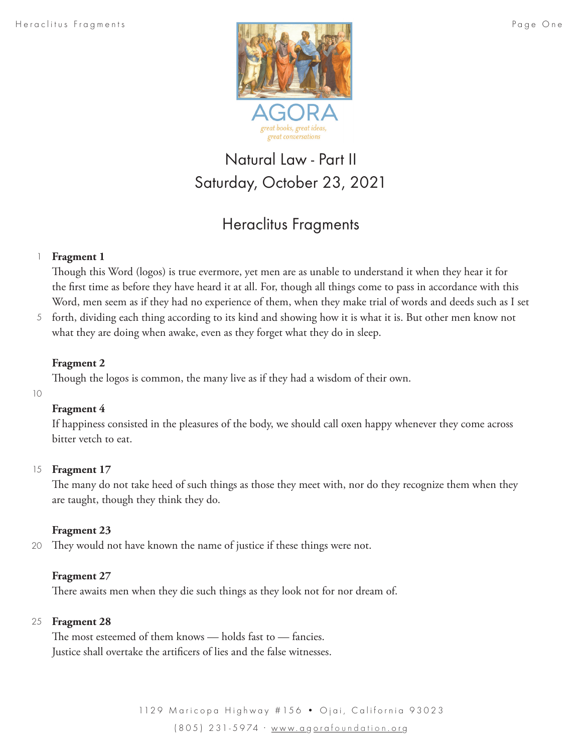

# Natural Law - Part II Saturday, October 23, 2021

# Heraclitus Fragments

#### **Fragment 1** 1

Though this Word (logos) is true evermore, yet men are as unable to understand it when they hear it for the first time as before they have heard it at all. For, though all things come to pass in accordance with this Word, men seem as if they had no experience of them, when they make trial of words and deeds such as I set

5 forth, dividing each thing according to its kind and showing how it is what it is. But other men know not what they are doing when awake, even as they forget what they do in sleep.

### **Fragment 2**

Though the logos is common, the many live as if they had a wisdom of their own.

10

## **Fragment 4**

If happiness consisted in the pleasures of the body, we should call oxen happy whenever they come across bitter vetch to eat.

## 15 **Fragment 17**

The many do not take heed of such things as those they meet with, nor do they recognize them when they are taught, though they think they do.

## **Fragment 23**

They would not have known the name of justice if these things were not. 20

## **Fragment 27**

There awaits men when they die such things as they look not for nor dream of.

### **Fragment 28** 25

The most esteemed of them knows — holds fast to — fancies. Justice shall overtake the artificers of lies and the false witnesses.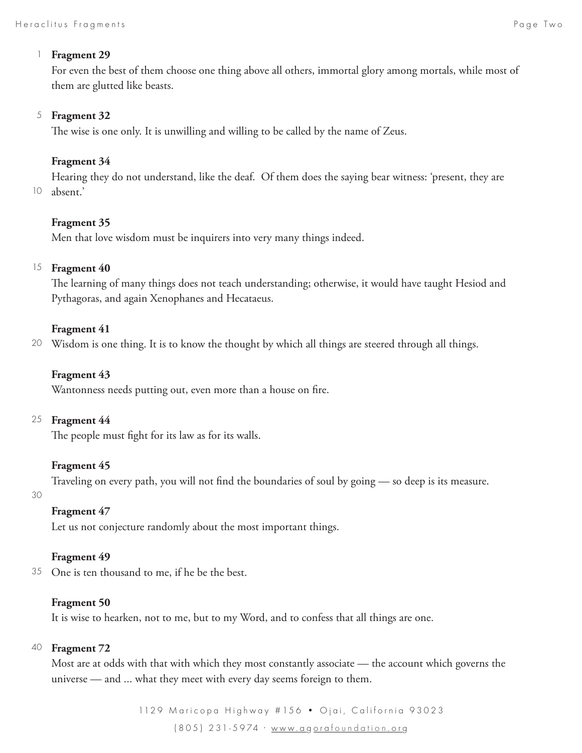#### **Fragment 29** 1

For even the best of them choose one thing above all others, immortal glory among mortals, while most of them are glutted like beasts.

#### **Fragment 32** 5

The wise is one only. It is unwilling and willing to be called by the name of Zeus.

### **Fragment 34**

Hearing they do not understand, like the deaf. Of them does the saying bear witness: 'present, they are absent.' 10

#### **Fragment 35**

Men that love wisdom must be inquirers into very many things indeed.

### <sup>15</sup> Fragment 40

The learning of many things does not teach understanding; otherwise, it would have taught Hesiod and Pythagoras, and again Xenophanes and Hecataeus.

#### **Fragment 41**

Wisdom is one thing. It is to know the thought by which all things are steered through all things. 20

### **Fragment 43**

Wantonness needs putting out, even more than a house on fire.

#### **Fragment 44** 25

The people must fight for its law as for its walls.

#### **Fragment 45**

Traveling on every path, you will not find the boundaries of soul by going — so deep is its measure.

#### 30

#### **Fragment 47**

Let us not conjecture randomly about the most important things.

#### **Fragment 49**

One is ten thousand to me, if he be the best. 35

#### **Fragment 50**

It is wise to hearken, not to me, but to my Word, and to confess that all things are one.

#### **Fragment 72** 40

Most are at odds with that with which they most constantly associate — the account which governs the universe — and ... what they meet with every day seems foreign to them.

> 1129 Maricopa Highway # 156 · Ojai, California 93023 (805) 231-5974 · www.a g ora foundation .or g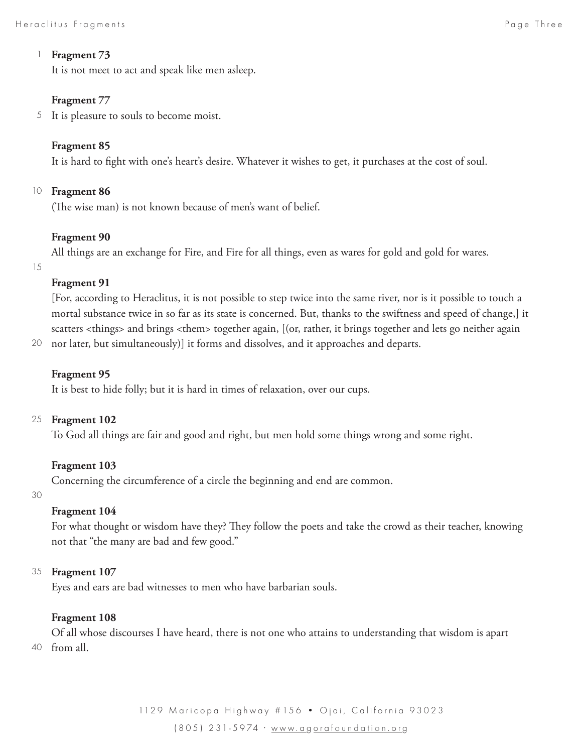#### **Fragment 73** 1

It is not meet to act and speak like men asleep.

#### **Fragment 77**

5 It is pleasure to souls to become moist.

#### **Fragment 85**

It is hard to fight with one's heart's desire. Whatever it wishes to get, it purchases at the cost of soul.

#### 10 **Fragment 86**

(The wise man) is not known because of men's want of belief.

#### **Fragment 90**

All things are an exchange for Fire, and Fire for all things, even as wares for gold and gold for wares.

15

#### **Fragment 91**

[For, according to Heraclitus, it is not possible to step twice into the same river, nor is it possible to touch a mortal substance twice in so far as its state is concerned. But, thanks to the swiftness and speed of change,] it scatters <things> and brings <them> together again, [(or, rather, it brings together and lets go neither again

nor later, but simultaneously)] it forms and dissolves, and it approaches and departs. 20

#### **Fragment 95**

It is best to hide folly; but it is hard in times of relaxation, over our cups.

#### **Fragment 102** 25

To God all things are fair and good and right, but men hold some things wrong and some right.

#### **Fragment 103**

Concerning the circumference of a circle the beginning and end are common.

30

#### **Fragment 104**

For what thought or wisdom have they? They follow the poets and take the crowd as their teacher, knowing not that "the many are bad and few good."

#### **Fragment 107** 35

Eyes and ears are bad witnesses to men who have barbarian souls.

#### **Fragment 108**

Of all whose discourses I have heard, there is not one who attains to understanding that wisdom is apart from all. 40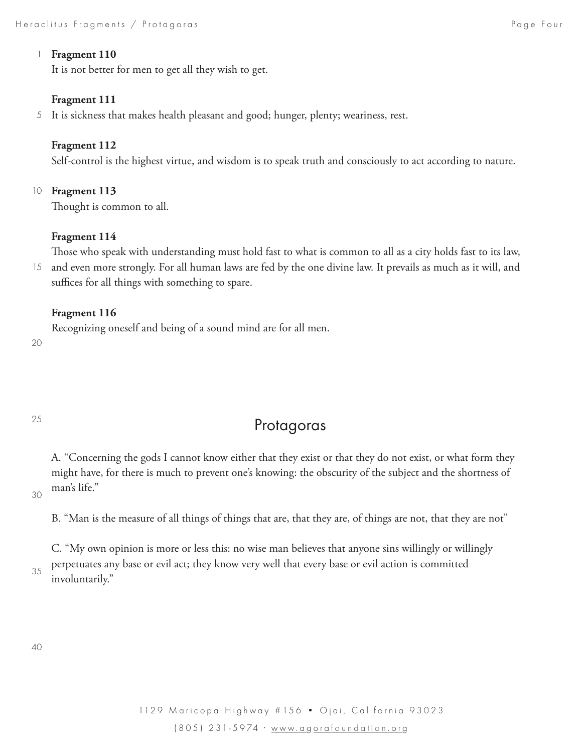#### **Fragment 110** 1

It is not better for men to get all they wish to get.

#### **Fragment 111**

It is sickness that makes health pleasant and good; hunger, plenty; weariness, rest. 5

#### **Fragment 112**

Self-control is the highest virtue, and wisdom is to speak truth and consciously to act according to nature.

#### 10 **Fragment 113**

Thought is common to all.

#### **Fragment 114**

Those who speak with understanding must hold fast to what is common to all as a city holds fast to its law, and even more strongly. For all human laws are fed by the one divine law. It prevails as much as it will, and suffices for all things with something to spare. 15

#### **Fragment 116**

Recognizing oneself and being of a sound mind are for all men.

20

#### 25

# Protagoras

A. "Concerning the gods I cannot know either that they exist or that they do not exist, or what form they might have, for there is much to prevent one's knowing: the obscurity of the subject and the shortness of man's life."

30

B. "Man is the measure of all things of things that are, that they are, of things are not, that they are not"

C. "My own opinion is more or less this: no wise man believes that anyone sins willingly or willingly perpetuates any base or evil act; they know very well that every base or evil action is committed involuntarily."

40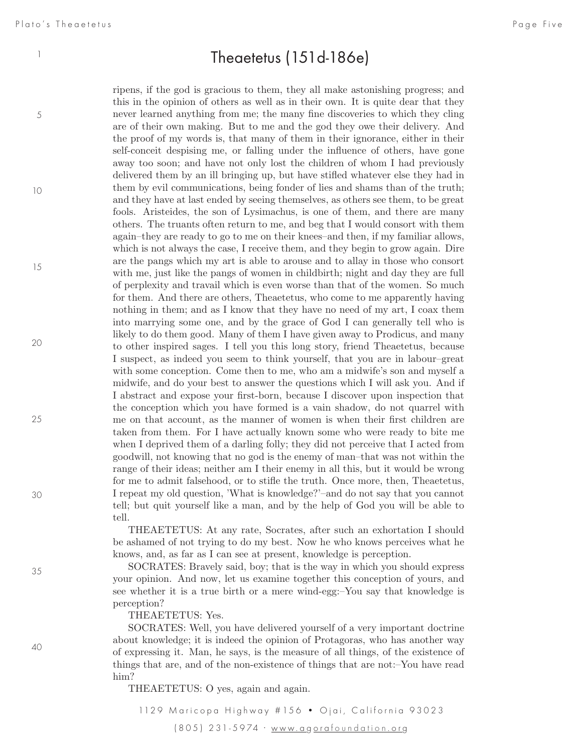5

10

15

20

25

30

35

# Theaetetus  $(151d-186e)$

ripens, if the god is gracious to them, they all make astonishing progress; and this in the opinion of others as well as in their own. It is quite dear that they never learned anything from me; the many fine discoveries to which they cling are of their own making. But to me and the god they owe their delivery. And the proof of my words is, that many of them in their ignorance, either in their self-conceit despising me, or falling under the influence of others, have gone away too soon; and have not only lost the children of whom I had previously delivered them by an ill bringing up, but have stifled whatever else they had in them by evil communications, being fonder of lies and shams than of the truth; and they have at last ended by seeing themselves, as others see them, to be great fools. Aristeides, the son of Lysimachus, is one of them, and there are many others. The truants often return to me, and beg that I would consort with them again–they are ready to go to me on their knees–and then, if my familiar allows, which is not always the case, I receive them, and they begin to grow again. Dire are the pangs which my art is able to arouse and to allay in those who consort with me, just like the pangs of women in childbirth; night and day they are full of perplexity and travail which is even worse than that of the women. So much for them. And there are others, Theaetetus, who come to me apparently having nothing in them; and as I know that they have no need of my art, I coax them into marrying some one, and by the grace of God I can generally tell who is likely to do them good. Many of them I have given away to Prodicus, and many to other inspired sages. I tell you this long story, friend Theaetetus, because I suspect, as indeed you seem to think yourself, that you are in labour–great with some conception. Come then to me, who am a midwife's son and myself a midwife, and do your best to answer the questions which I will ask you. And if I abstract and expose your first-born, because I discover upon inspection that the conception which you have formed is a vain shadow, do not quarrel with me on that account, as the manner of women is when their first children are taken from them. For I have actually known some who were ready to bite me when I deprived them of a darling folly; they did not perceive that I acted from goodwill, not knowing that no god is the enemy of man–that was not within the range of their ideas; neither am I their enemy in all this, but it would be wrong for me to admit falsehood, or to stifle the truth. Once more, then, Theaetetus, I repeat my old question, 'What is knowledge?'–and do not say that you cannot tell; but quit yourself like a man, and by the help of God you will be able to tell.

THEAETETUS: At any rate, Socrates, after such an exhortation I should be ashamed of not trying to do my best. Now he who knows perceives what he knows, and, as far as I can see at present, knowledge is perception.

SOCRATES: Bravely said, boy; that is the way in which you should express your opinion. And now, let us examine together this conception of yours, and see whether it is a true birth or a mere wind-egg:–You say that knowledge is perception?

THEAETETUS: Yes.

SOCRATES: Well, you have delivered yourself of a very important doctrine about knowledge; it is indeed the opinion of Protagoras, who has another way of expressing it. Man, he says, is the measure of all things, of the existence of things that are, and of the non-existence of things that are not:–You have read him?

THEAETETUS: O yes, again and again.

1129 Maricopa Highway # 156 · Ojai, California 93023 (805) 231-5974 · www.a g ora foundation .or g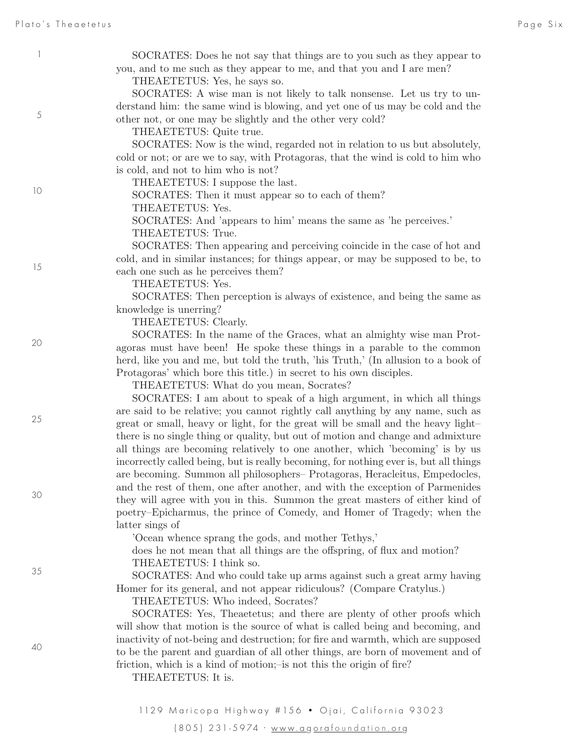5

10

15

20

25

30

35

40

SOCRATES: Does he not say that things are to you such as they appear to you, and to me such as they appear to me, and that you and I are men?

THEAETETUS: Yes, he says so.

SOCRATES: A wise man is not likely to talk nonsense. Let us try to understand him: the same wind is blowing, and yet one of us may be cold and the other not, or one may be slightly and the other very cold?

THEAETETUS: Quite true.

SOCRATES: Now is the wind, regarded not in relation to us but absolutely, cold or not; or are we to say, with Protagoras, that the wind is cold to him who is cold, and not to him who is not?

THEAETETUS: I suppose the last.

SOCRATES: Then it must appear so to each of them?

THEAETETUS: Yes.

SOCRATES: And 'appears to him' means the same as 'he perceives.' THEAETETUS: True.

SOCRATES: Then appearing and perceiving coincide in the case of hot and cold, and in similar instances; for things appear, or may be supposed to be, to each one such as he perceives them?

THEAETETUS: Yes.

SOCRATES: Then perception is always of existence, and being the same as knowledge is unerring?

THEAETETUS: Clearly.

SOCRATES: In the name of the Graces, what an almighty wise man Protagoras must have been! He spoke these things in a parable to the common herd, like you and me, but told the truth, 'his Truth,' (In allusion to a book of Protagoras' which bore this title.) in secret to his own disciples.

THEAETETUS: What do you mean, Socrates?

SOCRATES: I am about to speak of a high argument, in which all things are said to be relative; you cannot rightly call anything by any name, such as great or small, heavy or light, for the great will be small and the heavy light– there is no single thing or quality, but out of motion and change and admixture all things are becoming relatively to one another, which 'becoming' is by us incorrectly called being, but is really becoming, for nothing ever is, but all things are becoming. Summon all philosophers– Protagoras, Heracleitus, Empedocles, and the rest of them, one after another, and with the exception of Parmenides they will agree with you in this. Summon the great masters of either kind of poetry–Epicharmus, the prince of Comedy, and Homer of Tragedy; when the latter sings of

'Ocean whence sprang the gods, and mother Tethys,'

does he not mean that all things are the offspring, of flux and motion? THEAETETUS: I think so.

SOCRATES: And who could take up arms against such a great army having Homer for its general, and not appear ridiculous? (Compare Cratylus.)

THEAETETUS: Who indeed, Socrates?

SOCRATES: Yes, Theaetetus; and there are plenty of other proofs which will show that motion is the source of what is called being and becoming, and inactivity of not-being and destruction; for fire and warmth, which are supposed to be the parent and guardian of all other things, are born of movement and of friction, which is a kind of motion;–is not this the origin of fire?

THEAETETUS: It is.

1129 Maricopa Highway # 156 · Ojai, California 93023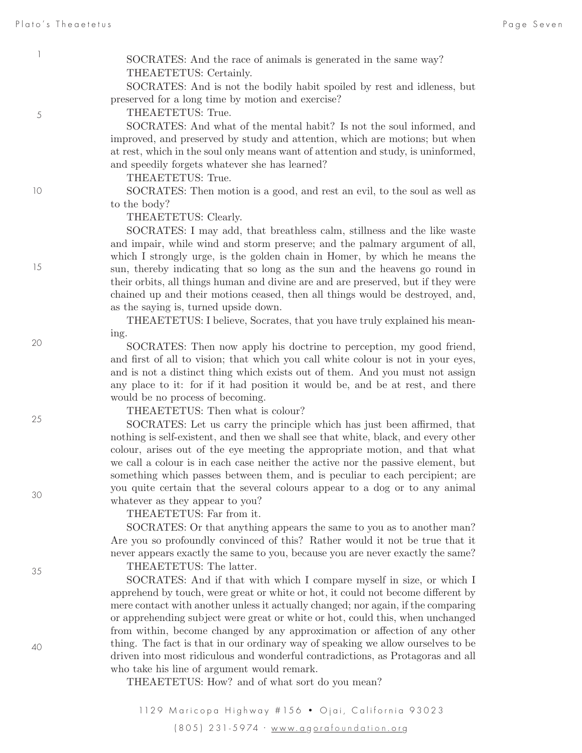5

SOCRATES: And the race of animals is generated in the same way? THEAETETUS: Certainly.

SOCRATES: And is not the bodily habit spoiled by rest and idleness, but preserved for a long time by motion and exercise?

THEAETETUS: True.

SOCRATES: And what of the mental habit? Is not the soul informed, and improved, and preserved by study and attention, which are motions; but when at rest, which in the soul only means want of attention and study, is uninformed, and speedily forgets whatever she has learned?

THEAETETUS: True.

SOCRATES: Then motion is a good, and rest an evil, to the soul as well as to the body?

THEAETETUS: Clearly.

SOCRATES: I may add, that breathless calm, stillness and the like waste and impair, while wind and storm preserve; and the palmary argument of all, which I strongly urge, is the golden chain in Homer, by which he means the sun, thereby indicating that so long as the sun and the heavens go round in their orbits, all things human and divine are and are preserved, but if they were chained up and their motions ceased, then all things would be destroyed, and, as the saying is, turned upside down.

THEAETETUS: I believe, Socrates, that you have truly explained his meaning.

SOCRATES: Then now apply his doctrine to perception, my good friend, and first of all to vision; that which you call white colour is not in your eyes, and is not a distinct thing which exists out of them. And you must not assign any place to it: for if it had position it would be, and be at rest, and there would be no process of becoming.

THEAETETUS: Then what is colour?

SOCRATES: Let us carry the principle which has just been affirmed, that nothing is self-existent, and then we shall see that white, black, and every other colour, arises out of the eye meeting the appropriate motion, and that what we call a colour is in each case neither the active nor the passive element, but something which passes between them, and is peculiar to each percipient; are you quite certain that the several colours appear to a dog or to any animal whatever as they appear to you?

THEAETETUS: Far from it.

SOCRATES: Or that anything appears the same to you as to another man? Are you so profoundly convinced of this? Rather would it not be true that it never appears exactly the same to you, because you are never exactly the same?

THEAETETUS: The latter.

SOCRATES: And if that with which I compare myself in size, or which I apprehend by touch, were great or white or hot, it could not become different by mere contact with another unless it actually changed; nor again, if the comparing or apprehending subject were great or white or hot, could this, when unchanged from within, become changed by any approximation or affection of any other thing. The fact is that in our ordinary way of speaking we allow ourselves to be driven into most ridiculous and wonderful contradictions, as Protagoras and all who take his line of argument would remark.

THEAETETUS: How? and of what sort do you mean?

1129 Maricopa Highway # 156 · Ojai, California 93023 (805) 231-5974 · www.a g ora foundation .or g

40

35

15

10

20

25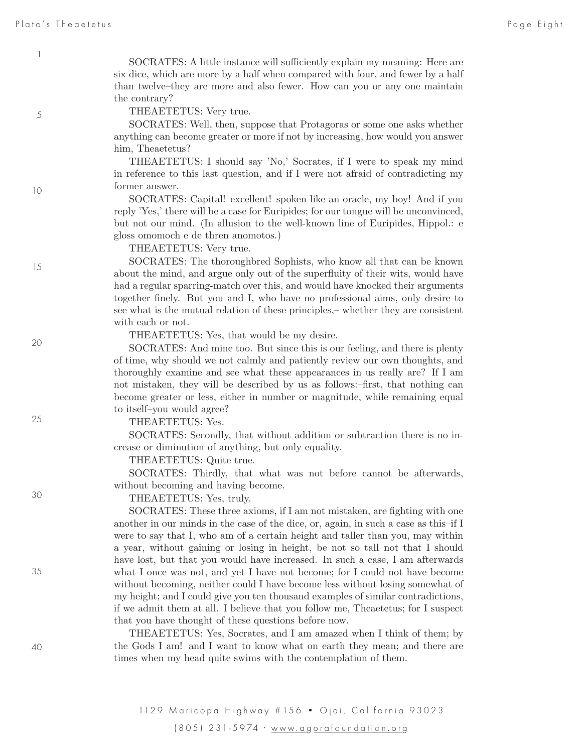5

10

15

20

25

30

35

SOCRATES: A little instance will sufficiently explain my meaning: Here are six dice, which are more by a half when compared with four, and fewer by a half than twelve–they are more and also fewer. How can you or any one maintain the contrary?

THEAETETUS: Very true.

SOCRATES: Well, then, suppose that Protagoras or some one asks whether anything can become greater or more if not by increasing, how would you answer him, Theaetetus?

THEAETETUS: I should say 'No,' Socrates, if I were to speak my mind in reference to this last question, and if I were not afraid of contradicting my former answer.

SOCRATES: Capital! excellent! spoken like an oracle, my boy! And if you reply 'Yes,' there will be a case for Euripides; for our tongue will be unconvinced, but not our mind. (In allusion to the well-known line of Euripides, Hippol.: e gloss omomoch e de thren anomotos.)

THEAETETUS: Very true.

SOCRATES: The thoroughbred Sophists, who know all that can be known about the mind, and argue only out of the superfluity of their wits, would have had a regular sparring-match over this, and would have knocked their arguments together finely. But you and I, who have no professional aims, only desire to see what is the mutual relation of these principles,– whether they are consistent with each or not.

THEAETETUS: Yes, that would be my desire.

SOCRATES: And mine too. But since this is our feeling, and there is plenty of time, why should we not calmly and patiently review our own thoughts, and thoroughly examine and see what these appearances in us really are? If I am not mistaken, they will be described by us as follows:–first, that nothing can become greater or less, either in number or magnitude, while remaining equal to itself–you would agree?

THEAETETUS: Yes.

SOCRATES: Secondly, that without addition or subtraction there is no increase or diminution of anything, but only equality.

THEAETETUS: Quite true.

SOCRATES: Thirdly, that what was not before cannot be afterwards, without becoming and having become.

THEAETETUS: Yes, truly.

SOCRATES: These three axioms, if I am not mistaken, are fighting with one another in our minds in the case of the dice, or, again, in such a case as this–if I were to say that I, who am of a certain height and taller than you, may within a year, without gaining or losing in height, be not so tall–not that I should have lost, but that you would have increased. In such a case, I am afterwards what I once was not, and yet I have not become; for I could not have become without becoming, neither could I have become less without losing somewhat of my height; and I could give you ten thousand examples of similar contradictions, if we admit them at all. I believe that you follow me, Theaetetus; for I suspect that you have thought of these questions before now.

THEAETETUS: Yes, Socrates, and I am amazed when I think of them; by the Gods I am! and I want to know what on earth they mean; and there are times when my head quite swims with the contemplation of them.

1129 Maricopa Highway # 156 · Ojai, California 93023 (805) 231-5974 · www.a g ora foundation .or g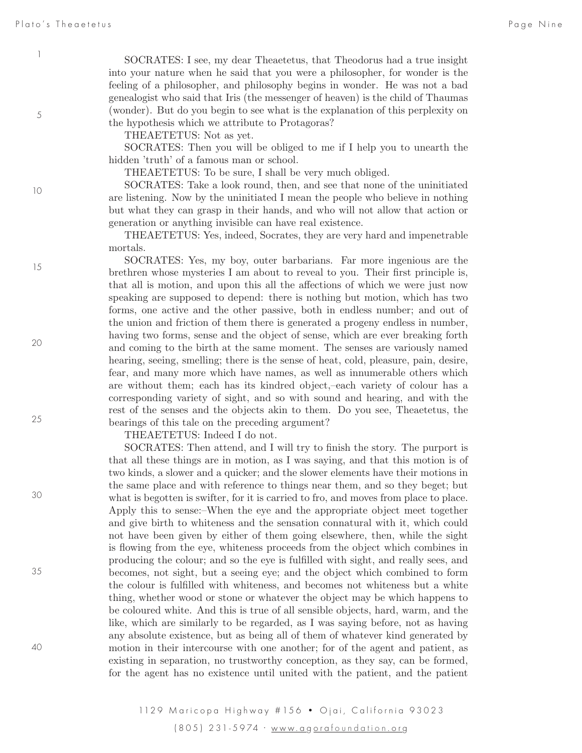5

10

15

20

25

30

35

SOCRATES: I see, my dear Theaetetus, that Theodorus had a true insight into your nature when he said that you were a philosopher, for wonder is the feeling of a philosopher, and philosophy begins in wonder. He was not a bad genealogist who said that Iris (the messenger of heaven) is the child of Thaumas (wonder). But do you begin to see what is the explanation of this perplexity on the hypothesis which we attribute to Protagoras?

THEAETETUS: Not as yet.

SOCRATES: Then you will be obliged to me if I help you to unearth the hidden 'truth' of a famous man or school.

THEAETETUS: To be sure, I shall be very much obliged.

SOCRATES: Take a look round, then, and see that none of the uninitiated are listening. Now by the uninitiated I mean the people who believe in nothing but what they can grasp in their hands, and who will not allow that action or generation or anything invisible can have real existence.

THEAETETUS: Yes, indeed, Socrates, they are very hard and impenetrable mortals.

SOCRATES: Yes, my boy, outer barbarians. Far more ingenious are the brethren whose mysteries I am about to reveal to you. Their first principle is, that all is motion, and upon this all the affections of which we were just now speaking are supposed to depend: there is nothing but motion, which has two forms, one active and the other passive, both in endless number; and out of the union and friction of them there is generated a progeny endless in number, having two forms, sense and the object of sense, which are ever breaking forth and coming to the birth at the same moment. The senses are variously named hearing, seeing, smelling; there is the sense of heat, cold, pleasure, pain, desire, fear, and many more which have names, as well as innumerable others which are without them; each has its kindred object,–each variety of colour has a corresponding variety of sight, and so with sound and hearing, and with the rest of the senses and the objects akin to them. Do you see, Theaetetus, the bearings of this tale on the preceding argument?

THEAETETUS: Indeed I do not.

SOCRATES: Then attend, and I will try to finish the story. The purport is that all these things are in motion, as I was saying, and that this motion is of two kinds, a slower and a quicker; and the slower elements have their motions in the same place and with reference to things near them, and so they beget; but what is begotten is swifter, for it is carried to fro, and moves from place to place. Apply this to sense:–When the eye and the appropriate object meet together and give birth to whiteness and the sensation connatural with it, which could not have been given by either of them going elsewhere, then, while the sight is flowing from the eye, whiteness proceeds from the object which combines in producing the colour; and so the eye is fulfilled with sight, and really sees, and becomes, not sight, but a seeing eye; and the object which combined to form the colour is fulfilled with whiteness, and becomes not whiteness but a white thing, whether wood or stone or whatever the object may be which happens to be coloured white. And this is true of all sensible objects, hard, warm, and the like, which are similarly to be regarded, as I was saying before, not as having any absolute existence, but as being all of them of whatever kind generated by motion in their intercourse with one another; for of the agent and patient, as existing in separation, no trustworthy conception, as they say, can be formed, for the agent has no existence until united with the patient, and the patient

1129 Maricopa Highway # 156 · Ojai, California 93023 (805) 231-5974 · www.a g ora foundation .or g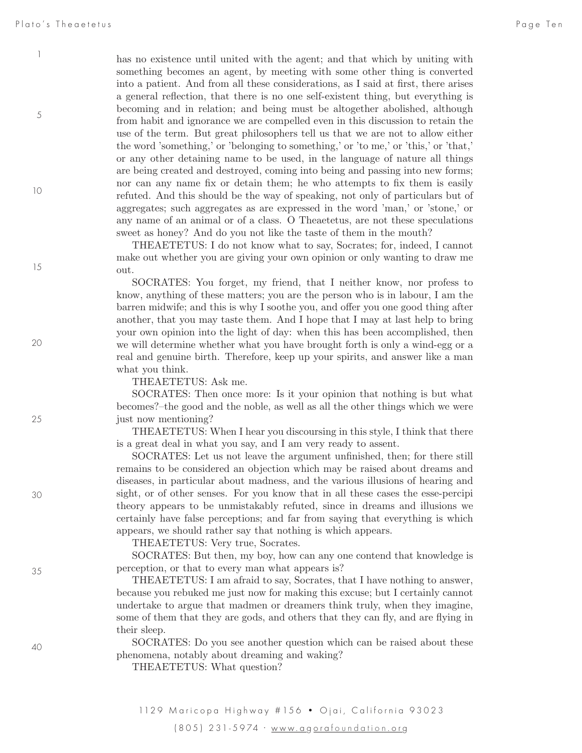5

10

15

20

25

30

35

has no existence until united with the agent; and that which by uniting with something becomes an agent, by meeting with some other thing is converted into a patient. And from all these considerations, as I said at first, there arises a general reflection, that there is no one self-existent thing, but everything is becoming and in relation; and being must be altogether abolished, although from habit and ignorance we are compelled even in this discussion to retain the use of the term. But great philosophers tell us that we are not to allow either the word 'something,' or 'belonging to something,' or 'to me,' or 'this,' or 'that,' or any other detaining name to be used, in the language of nature all things are being created and destroyed, coming into being and passing into new forms; nor can any name fix or detain them; he who attempts to fix them is easily refuted. And this should be the way of speaking, not only of particulars but of aggregates; such aggregates as are expressed in the word 'man,' or 'stone,' or any name of an animal or of a class. O Theaetetus, are not these speculations sweet as honey? And do you not like the taste of them in the mouth?

THEAETETUS: I do not know what to say, Socrates; for, indeed, I cannot make out whether you are giving your own opinion or only wanting to draw me out.

SOCRATES: You forget, my friend, that I neither know, nor profess to know, anything of these matters; you are the person who is in labour, I am the barren midwife; and this is why I soothe you, and offer you one good thing after another, that you may taste them. And I hope that I may at last help to bring your own opinion into the light of day: when this has been accomplished, then we will determine whether what you have brought forth is only a wind-egg or a real and genuine birth. Therefore, keep up your spirits, and answer like a man what you think.

THEAETETUS: Ask me.

SOCRATES: Then once more: Is it your opinion that nothing is but what becomes?–the good and the noble, as well as all the other things which we were just now mentioning?

THEAETETUS: When I hear you discoursing in this style, I think that there is a great deal in what you say, and I am very ready to assent.

SOCRATES: Let us not leave the argument unfinished, then; for there still remains to be considered an objection which may be raised about dreams and diseases, in particular about madness, and the various illusions of hearing and sight, or of other senses. For you know that in all these cases the esse-percipi theory appears to be unmistakably refuted, since in dreams and illusions we certainly have false perceptions; and far from saying that everything is which appears, we should rather say that nothing is which appears.

THEAETETUS: Very true, Socrates.

SOCRATES: But then, my boy, how can any one contend that knowledge is perception, or that to every man what appears is?

THEAETETUS: I am afraid to say, Socrates, that I have nothing to answer, because you rebuked me just now for making this excuse; but I certainly cannot undertake to argue that madmen or dreamers think truly, when they imagine, some of them that they are gods, and others that they can fly, and are flying in their sleep.

SOCRATES: Do you see another question which can be raised about these phenomena, notably about dreaming and waking?

THEAETETUS: What question?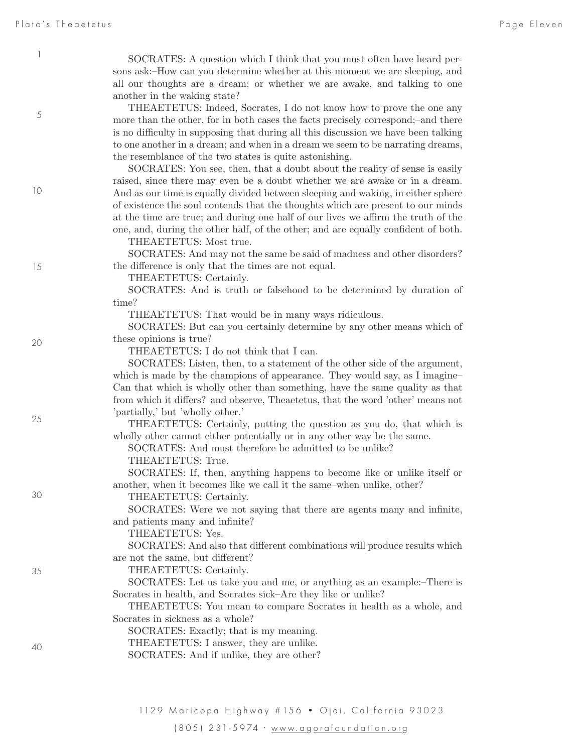5

10

15

20

25

30

35

SOCRATES: A question which I think that you must often have heard persons ask:–How can you determine whether at this moment we are sleeping, and all our thoughts are a dream; or whether we are awake, and talking to one another in the waking state?

THEAETETUS: Indeed, Socrates, I do not know how to prove the one any more than the other, for in both cases the facts precisely correspond;–and there is no difficulty in supposing that during all this discussion we have been talking to one another in a dream; and when in a dream we seem to be narrating dreams, the resemblance of the two states is quite astonishing.

SOCRATES: You see, then, that a doubt about the reality of sense is easily raised, since there may even be a doubt whether we are awake or in a dream. And as our time is equally divided between sleeping and waking, in either sphere of existence the soul contends that the thoughts which are present to our minds at the time are true; and during one half of our lives we affirm the truth of the one, and, during the other half, of the other; and are equally confident of both.

THEAETETUS: Most true.

SOCRATES: And may not the same be said of madness and other disorders? the difference is only that the times are not equal.

THEAETETUS: Certainly.

SOCRATES: And is truth or falsehood to be determined by duration of time?

THEAETETUS: That would be in many ways ridiculous.

SOCRATES: But can you certainly determine by any other means which of these opinions is true?

THEAETETUS: I do not think that I can.

SOCRATES: Listen, then, to a statement of the other side of the argument, which is made by the champions of appearance. They would say, as I imagine– Can that which is wholly other than something, have the same quality as that from which it differs? and observe, Theaetetus, that the word 'other' means not 'partially,' but 'wholly other.'

THEAETETUS: Certainly, putting the question as you do, that which is wholly other cannot either potentially or in any other way be the same.

SOCRATES: And must therefore be admitted to be unlike?

THEAETETUS: True.

SOCRATES: If, then, anything happens to become like or unlike itself or another, when it becomes like we call it the same–when unlike, other?

THEAETETUS: Certainly.

SOCRATES: Were we not saying that there are agents many and infinite, and patients many and infinite?

THEAETETUS: Yes.

SOCRATES: And also that different combinations will produce results which are not the same, but different?

THEAETETUS: Certainly.

SOCRATES: Let us take you and me, or anything as an example:–There is Socrates in health, and Socrates sick–Are they like or unlike?

THEAETETUS: You mean to compare Socrates in health as a whole, and Socrates in sickness as a whole?

SOCRATES: Exactly; that is my meaning.

THEAETETUS: I answer, they are unlike.

SOCRATES: And if unlike, they are other?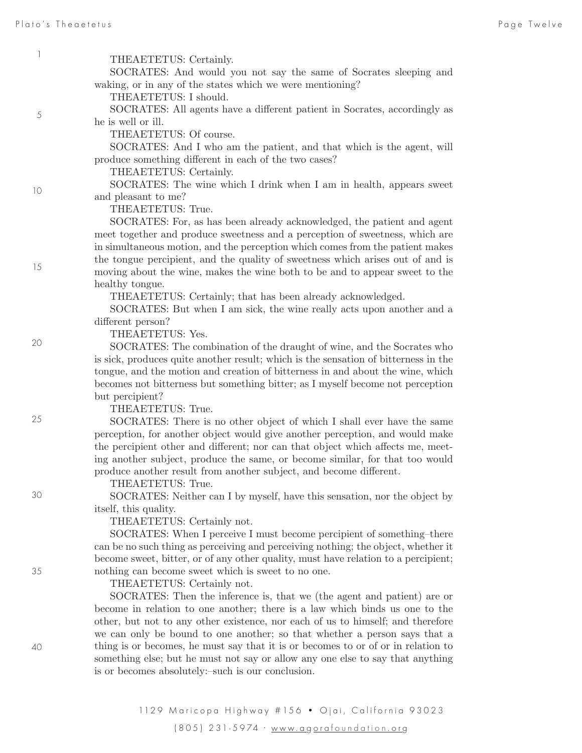5

10

15

20

25

30

35

40

 $3103$ THEAETETUS: Certainly. SOCRATES: And would you not say the same of Socrates sleeping and waking, or in any of the states which we were mentioning? THEAETETUS: I should. SOCRATES: All agents have a different patient in Socrates, accordingly as he is well or ill. THEAETETUS: Of course. SOCRATES: And I who am the patient, and that which is the agent, will produce something different in each of the two cases? THEAETETUS: Certainly. SOCRATES: The wine which I drink when I am in health, appears sweet and pleasant to me? THEAETETUS: True. SOCRATES: For, as has been already acknowledged, the patient and agent meet together and produce sweetness and a perception of sweetness, which are in simultaneous motion, and the perception which comes from the patient makes the tongue percipient, and the quality of sweetness which arises out of and is moving about the wine, makes the wine both to be and to appear sweet to the healthy tongue. THEAETETUS: Certainly; that has been already acknowledged. SOCRATES: But when I am sick, the wine really acts upon another and a different person? THEAETETUS: Yes. SOCRATES: The combination of the draught of wine, and the Socrates who is sick, produces quite another result; which is the sensation of bitterness in the tongue, and the motion and creation of bitterness in and about the wine, which becomes not bitterness but something bitter; as I myself become not perception but percipient? THEAETETUS: True. SOCRATES: There is no other object of which I shall ever have the same perception, for another object would give another perception, and would make the percipient other and different; nor can that object which affects me, meeting another subject, produce the same, or become similar, for that too would produce another result from another subject, and become different. THEAETETUS: True. SOCRATES: Neither can I by myself, have this sensation, nor the object by itself, this quality. THEAETETUS: Certainly not. SOCRATES: When I perceive I must become percipient of something–there can be no such thing as perceiving and perceiving nothing; the object, whether it become sweet, bitter, or of any other quality, must have relation to a percipient; nothing can become sweet which is sweet to no one. THEAETETUS: Certainly not. SOCRATES: Then the inference is, that we (the agent and patient) are or become in relation to one another; there is a law which binds us one to the other, but not to any other existence, nor each of us to himself; and therefore we can only be bound to one another; so that whether a person says that a

> 1129 Maricopa Highway # 156 · Ojai, California 93023 (805) 231-5974 · www.a g ora foundation .or g

thing is or becomes, he must say that it is or becomes to or of or in relation to something else; but he must not say or allow any one else to say that anything

is or becomes absolutely:–such is our conclusion.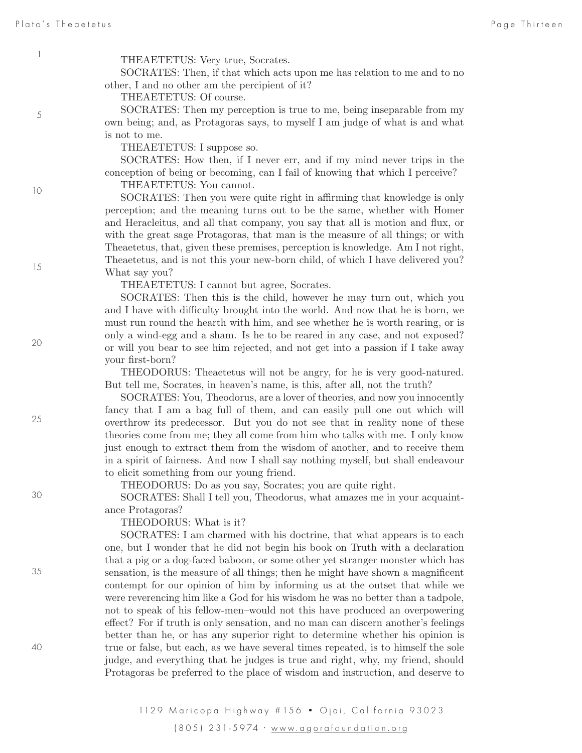5

10

THEAETETUS: Very true, Socrates.

SOCRATES: Then, if that which acts upon me has relation to me and to no other, I and no other am the percipient of it?

THEAETETUS: Of course.

SOCRATES: Then my perception is true to me, being inseparable from my own being; and, as Protagoras says, to myself I am judge of what is and what is not to me.

THEAETETUS: I suppose so.

SOCRATES: How then, if I never err, and if my mind never trips in the conception of being or becoming, can I fail of knowing that which I perceive?

THEAETETUS: You cannot.

SOCRATES: Then you were quite right in affirming that knowledge is only perception; and the meaning turns out to be the same, whether with Homer and Heracleitus, and all that company, you say that all is motion and flux, or with the great sage Protagoras, that man is the measure of all things; or with Theaetetus, that, given these premises, perception is knowledge. Am I not right, Theaetetus, and is not this your new-born child, of which I have delivered you? What say you?

THEAETETUS: I cannot but agree, Socrates.

SOCRATES: Then this is the child, however he may turn out, which you and I have with difficulty brought into the world. And now that he is born, we must run round the hearth with him, and see whether he is worth rearing, or is only a wind-egg and a sham. Is he to be reared in any case, and not exposed? or will you bear to see him rejected, and not get into a passion if I take away your first-born?

THEODORUS: Theaetetus will not be angry, for he is very good-natured. But tell me, Socrates, in heaven's name, is this, after all, not the truth?

SOCRATES: You, Theodorus, are a lover of theories, and now you innocently fancy that I am a bag full of them, and can easily pull one out which will overthrow its predecessor. But you do not see that in reality none of these theories come from me; they all come from him who talks with me. I only know just enough to extract them from the wisdom of another, and to receive them in a spirit of fairness. And now I shall say nothing myself, but shall endeavour to elicit something from our young friend.

THEODORUS: Do as you say, Socrates; you are quite right.

SOCRATES: Shall I tell you, Theodorus, what amazes me in your acquaintance Protagoras?

THEODORUS: What is it?

SOCRATES: I am charmed with his doctrine, that what appears is to each one, but I wonder that he did not begin his book on Truth with a declaration that a pig or a dog-faced baboon, or some other yet stranger monster which has sensation, is the measure of all things; then he might have shown a magnificent contempt for our opinion of him by informing us at the outset that while we were reverencing him like a God for his wisdom he was no better than a tadpole, not to speak of his fellow-men–would not this have produced an overpowering effect? For if truth is only sensation, and no man can discern another's feelings better than he, or has any superior right to determine whether his opinion is true or false, but each, as we have several times repeated, is to himself the sole judge, and everything that he judges is true and right, why, my friend, should Protagoras be preferred to the place of wisdom and instruction, and deserve to

15

25

20

30

35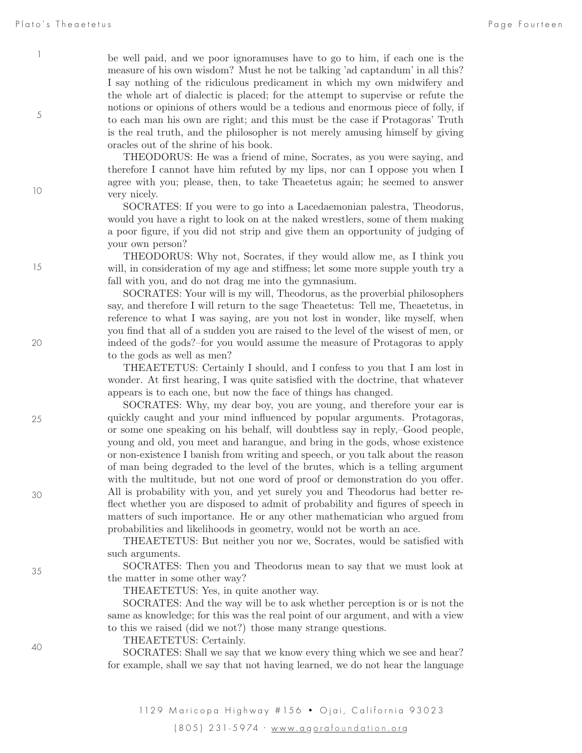5

10

15

20

25

30

35

be well paid, and we poor ignoramuses have to go to him, if each one is the measure of his own wisdom? Must he not be talking 'ad captandum' in all this? I say nothing of the ridiculous predicament in which my own midwifery and the whole art of dialectic is placed; for the attempt to supervise or refute the notions or opinions of others would be a tedious and enormous piece of folly, if to each man his own are right; and this must be the case if Protagoras' Truth is the real truth, and the philosopher is not merely amusing himself by giving oracles out of the shrine of his book.

THEODORUS: He was a friend of mine, Socrates, as you were saying, and therefore I cannot have him refuted by my lips, nor can I oppose you when I agree with you; please, then, to take Theaetetus again; he seemed to answer very nicely.

SOCRATES: If you were to go into a Lacedaemonian palestra, Theodorus, would you have a right to look on at the naked wrestlers, some of them making a poor figure, if you did not strip and give them an opportunity of judging of your own person?

THEODORUS: Why not, Socrates, if they would allow me, as I think you will, in consideration of my age and stiffness; let some more supple youth try a fall with you, and do not drag me into the gymnasium.

SOCRATES: Your will is my will, Theodorus, as the proverbial philosophers say, and therefore I will return to the sage Theaetetus: Tell me, Theaetetus, in reference to what I was saying, are you not lost in wonder, like myself, when you find that all of a sudden you are raised to the level of the wisest of men, or indeed of the gods?–for you would assume the measure of Protagoras to apply to the gods as well as men?

THEAETETUS: Certainly I should, and I confess to you that I am lost in wonder. At first hearing, I was quite satisfied with the doctrine, that whatever appears is to each one, but now the face of things has changed.

SOCRATES: Why, my dear boy, you are young, and therefore your ear is quickly caught and your mind influenced by popular arguments. Protagoras, or some one speaking on his behalf, will doubtless say in reply,–Good people, young and old, you meet and harangue, and bring in the gods, whose existence or non-existence I banish from writing and speech, or you talk about the reason of man being degraded to the level of the brutes, which is a telling argument with the multitude, but not one word of proof or demonstration do you offer. All is probability with you, and yet surely you and Theodorus had better reflect whether you are disposed to admit of probability and figures of speech in matters of such importance. He or any other mathematician who argued from probabilities and likelihoods in geometry, would not be worth an ace.

THEAETETUS: But neither you nor we, Socrates, would be satisfied with such arguments.

SOCRATES: Then you and Theodorus mean to say that we must look at the matter in some other way?

THEAETETUS: Yes, in quite another way.

SOCRATES: And the way will be to ask whether perception is or is not the same as knowledge; for this was the real point of our argument, and with a view to this we raised (did we not?) those many strange questions.

THEAETETUS: Certainly.

SOCRATES: Shall we say that we know every thing which we see and hear? for example, shall we say that not having learned, we do not hear the language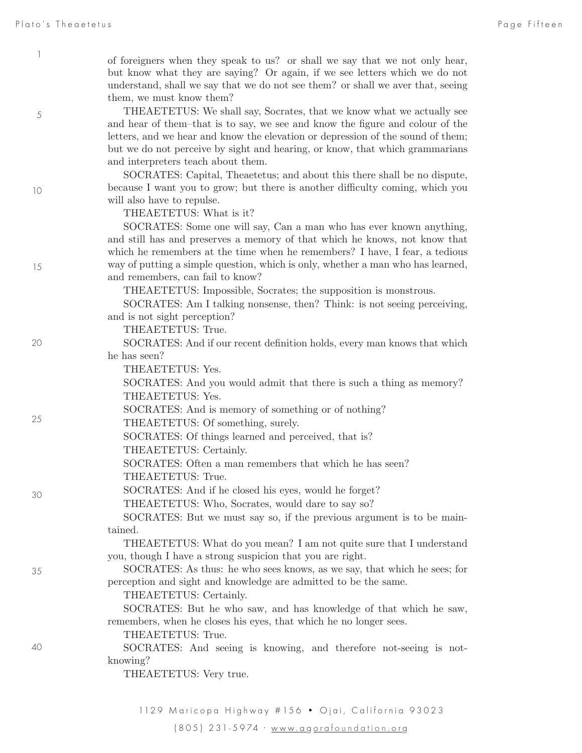5

10

15

20

25

30

35

of foreigners when they speak to us? or shall we say that we not only hear, but know what they are saying? Or again, if we see letters which we do not understand, shall we say that we do not see them? or shall we aver that, seeing them, we must know them?

THEAETETUS: We shall say, Socrates, that we know what we actually see and hear of them–that is to say, we see and know the figure and colour of the letters, and we hear and know the elevation or depression of the sound of them; but we do not perceive by sight and hearing, or know, that which grammarians and interpreters teach about them.

SOCRATES: Capital, Theaetetus; and about this there shall be no dispute, because I want you to grow; but there is another difficulty coming, which you will also have to repulse.

THEAETETUS: What is it?

SOCRATES: Some one will say, Can a man who has ever known anything, and still has and preserves a memory of that which he knows, not know that which he remembers at the time when he remembers? I have, I fear, a tedious way of putting a simple question, which is only, whether a man who has learned, and remembers, can fail to know?

THEAETETUS: Impossible, Socrates; the supposition is monstrous.

SOCRATES: Am I talking nonsense, then? Think: is not seeing perceiving, and is not sight perception?

THEAETETUS: True.

SOCRATES: And if our recent definition holds, every man knows that which he has seen?

THEAETETUS: Yes.

SOCRATES: And you would admit that there is such a thing as memory? THEAETETUS: Yes.

SOCRATES: And is memory of something or of nothing?

THEAETETUS: Of something, surely.

SOCRATES: Of things learned and perceived, that is?

THEAETETUS: Certainly.

SOCRATES: Often a man remembers that which he has seen? THEAETETUS: True.

SOCRATES: And if he closed his eyes, would he forget?

THEAETETUS: Who, Socrates, would dare to say so?

SOCRATES: But we must say so, if the previous argument is to be maintained.

THEAETETUS: What do you mean? I am not quite sure that I understand you, though I have a strong suspicion that you are right.

SOCRATES: As thus: he who sees knows, as we say, that which he sees; for perception and sight and knowledge are admitted to be the same.

THEAETETUS: Certainly.

SOCRATES: But he who saw, and has knowledge of that which he saw, remembers, when he closes his eyes, that which he no longer sees.

THEAETETUS: True.

SOCRATES: And seeing is knowing, and therefore not-seeing is notknowing?

THEAETETUS: Very true.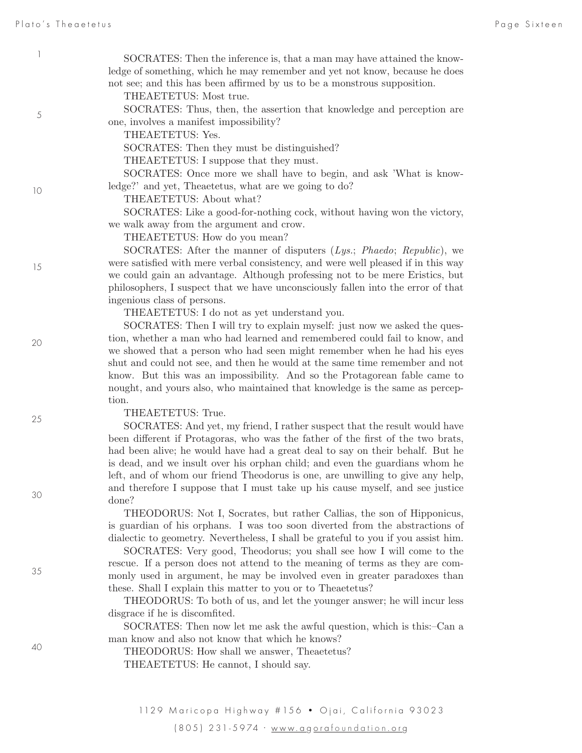| 1<br>SOCRATES: Then the inference is, that a man may have attained the know-<br>ledge of something, which he may remember and yet not know, because he does<br>not see; and this has been affirmed by us to be a monstrous supposition.<br>THEAETETUS: Most true.<br>SOCRATES: Thus, then, the assertion that knowledge and perception are<br>$\sqrt{5}$<br>one, involves a manifest impossibility?<br>THEAETETUS: Yes.<br>SOCRATES: Then they must be distinguished?<br>THEAETETUS: I suppose that they must.<br>SOCRATES: Once more we shall have to begin, and ask 'What is know-<br>ledge?' and yet, Theaetetus, what are we going to do?<br>10<br>THEAETETUS: About what?<br>SOCRATES: Like a good-for-nothing cock, without having won the victory,<br>we walk away from the argument and crow.<br>THEAETETUS: How do you mean?<br>SOCRATES: After the manner of disputers (Lys.; Phaedo; Republic), we<br>were satisfied with mere verbal consistency, and were well pleased if in this way<br>15<br>we could gain an advantage. Although professing not to be mere Eristics, but<br>philosophers, I suspect that we have unconsciously fallen into the error of that<br>ingenious class of persons.<br>THEAETETUS: I do not as yet understand you.<br>SOCRATES: Then I will try to explain myself: just now we asked the ques-<br>tion, whether a man who had learned and remembered could fail to know, and<br>20<br>we showed that a person who had seen might remember when he had his eyes<br>shut and could not see, and then he would at the same time remember and not<br>know. But this was an impossibility. And so the Protagorean fable came to<br>nought, and yours also, who maintained that knowledge is the same as percep-<br>tion.<br>THEAETETUS: True.<br>25<br>SOCRATES: And yet, my friend, I rather suspect that the result would have<br>been different if Protagoras, who was the father of the first of the two brats,<br>had been alive; he would have had a great deal to say on their behalf. But he<br>is dead, and we insult over his orphan child; and even the guardians whom he<br>left, and of whom our friend Theodorus is one, are unwilling to give any help,<br>and therefore I suppose that I must take up his cause myself, and see justice<br>30<br>done?<br>THEODORUS: Not I, Socrates, but rather Callias, the son of Hipponicus,<br>is guardian of his orphans. I was too soon diverted from the abstractions of<br>dialectic to geometry. Nevertheless, I shall be grateful to you if you assist him.<br>SOCRATES: Very good, Theodorus; you shall see how I will come to the<br>rescue. If a person does not attend to the meaning of terms as they are com-<br>35<br>monly used in argument, he may be involved even in greater paradoxes than<br>these. Shall I explain this matter to you or to Theaetetus? |  |
|---------------------------------------------------------------------------------------------------------------------------------------------------------------------------------------------------------------------------------------------------------------------------------------------------------------------------------------------------------------------------------------------------------------------------------------------------------------------------------------------------------------------------------------------------------------------------------------------------------------------------------------------------------------------------------------------------------------------------------------------------------------------------------------------------------------------------------------------------------------------------------------------------------------------------------------------------------------------------------------------------------------------------------------------------------------------------------------------------------------------------------------------------------------------------------------------------------------------------------------------------------------------------------------------------------------------------------------------------------------------------------------------------------------------------------------------------------------------------------------------------------------------------------------------------------------------------------------------------------------------------------------------------------------------------------------------------------------------------------------------------------------------------------------------------------------------------------------------------------------------------------------------------------------------------------------------------------------------------------------------------------------------------------------------------------------------------------------------------------------------------------------------------------------------------------------------------------------------------------------------------------------------------------------------------------------------------------------------------------------------------------------------------------------------------------------------------------------------------------------------------------------------------------------------------------------------------------------------------------------------------------------------------------------------------------------------------------------------------------------------------------------------------------------------------------------------------------------------------------------------|--|
|                                                                                                                                                                                                                                                                                                                                                                                                                                                                                                                                                                                                                                                                                                                                                                                                                                                                                                                                                                                                                                                                                                                                                                                                                                                                                                                                                                                                                                                                                                                                                                                                                                                                                                                                                                                                                                                                                                                                                                                                                                                                                                                                                                                                                                                                                                                                                                                                                                                                                                                                                                                                                                                                                                                                                                                                                                                                     |  |
|                                                                                                                                                                                                                                                                                                                                                                                                                                                                                                                                                                                                                                                                                                                                                                                                                                                                                                                                                                                                                                                                                                                                                                                                                                                                                                                                                                                                                                                                                                                                                                                                                                                                                                                                                                                                                                                                                                                                                                                                                                                                                                                                                                                                                                                                                                                                                                                                                                                                                                                                                                                                                                                                                                                                                                                                                                                                     |  |
|                                                                                                                                                                                                                                                                                                                                                                                                                                                                                                                                                                                                                                                                                                                                                                                                                                                                                                                                                                                                                                                                                                                                                                                                                                                                                                                                                                                                                                                                                                                                                                                                                                                                                                                                                                                                                                                                                                                                                                                                                                                                                                                                                                                                                                                                                                                                                                                                                                                                                                                                                                                                                                                                                                                                                                                                                                                                     |  |
|                                                                                                                                                                                                                                                                                                                                                                                                                                                                                                                                                                                                                                                                                                                                                                                                                                                                                                                                                                                                                                                                                                                                                                                                                                                                                                                                                                                                                                                                                                                                                                                                                                                                                                                                                                                                                                                                                                                                                                                                                                                                                                                                                                                                                                                                                                                                                                                                                                                                                                                                                                                                                                                                                                                                                                                                                                                                     |  |
|                                                                                                                                                                                                                                                                                                                                                                                                                                                                                                                                                                                                                                                                                                                                                                                                                                                                                                                                                                                                                                                                                                                                                                                                                                                                                                                                                                                                                                                                                                                                                                                                                                                                                                                                                                                                                                                                                                                                                                                                                                                                                                                                                                                                                                                                                                                                                                                                                                                                                                                                                                                                                                                                                                                                                                                                                                                                     |  |
|                                                                                                                                                                                                                                                                                                                                                                                                                                                                                                                                                                                                                                                                                                                                                                                                                                                                                                                                                                                                                                                                                                                                                                                                                                                                                                                                                                                                                                                                                                                                                                                                                                                                                                                                                                                                                                                                                                                                                                                                                                                                                                                                                                                                                                                                                                                                                                                                                                                                                                                                                                                                                                                                                                                                                                                                                                                                     |  |
|                                                                                                                                                                                                                                                                                                                                                                                                                                                                                                                                                                                                                                                                                                                                                                                                                                                                                                                                                                                                                                                                                                                                                                                                                                                                                                                                                                                                                                                                                                                                                                                                                                                                                                                                                                                                                                                                                                                                                                                                                                                                                                                                                                                                                                                                                                                                                                                                                                                                                                                                                                                                                                                                                                                                                                                                                                                                     |  |
|                                                                                                                                                                                                                                                                                                                                                                                                                                                                                                                                                                                                                                                                                                                                                                                                                                                                                                                                                                                                                                                                                                                                                                                                                                                                                                                                                                                                                                                                                                                                                                                                                                                                                                                                                                                                                                                                                                                                                                                                                                                                                                                                                                                                                                                                                                                                                                                                                                                                                                                                                                                                                                                                                                                                                                                                                                                                     |  |
|                                                                                                                                                                                                                                                                                                                                                                                                                                                                                                                                                                                                                                                                                                                                                                                                                                                                                                                                                                                                                                                                                                                                                                                                                                                                                                                                                                                                                                                                                                                                                                                                                                                                                                                                                                                                                                                                                                                                                                                                                                                                                                                                                                                                                                                                                                                                                                                                                                                                                                                                                                                                                                                                                                                                                                                                                                                                     |  |
|                                                                                                                                                                                                                                                                                                                                                                                                                                                                                                                                                                                                                                                                                                                                                                                                                                                                                                                                                                                                                                                                                                                                                                                                                                                                                                                                                                                                                                                                                                                                                                                                                                                                                                                                                                                                                                                                                                                                                                                                                                                                                                                                                                                                                                                                                                                                                                                                                                                                                                                                                                                                                                                                                                                                                                                                                                                                     |  |
|                                                                                                                                                                                                                                                                                                                                                                                                                                                                                                                                                                                                                                                                                                                                                                                                                                                                                                                                                                                                                                                                                                                                                                                                                                                                                                                                                                                                                                                                                                                                                                                                                                                                                                                                                                                                                                                                                                                                                                                                                                                                                                                                                                                                                                                                                                                                                                                                                                                                                                                                                                                                                                                                                                                                                                                                                                                                     |  |
|                                                                                                                                                                                                                                                                                                                                                                                                                                                                                                                                                                                                                                                                                                                                                                                                                                                                                                                                                                                                                                                                                                                                                                                                                                                                                                                                                                                                                                                                                                                                                                                                                                                                                                                                                                                                                                                                                                                                                                                                                                                                                                                                                                                                                                                                                                                                                                                                                                                                                                                                                                                                                                                                                                                                                                                                                                                                     |  |
|                                                                                                                                                                                                                                                                                                                                                                                                                                                                                                                                                                                                                                                                                                                                                                                                                                                                                                                                                                                                                                                                                                                                                                                                                                                                                                                                                                                                                                                                                                                                                                                                                                                                                                                                                                                                                                                                                                                                                                                                                                                                                                                                                                                                                                                                                                                                                                                                                                                                                                                                                                                                                                                                                                                                                                                                                                                                     |  |
|                                                                                                                                                                                                                                                                                                                                                                                                                                                                                                                                                                                                                                                                                                                                                                                                                                                                                                                                                                                                                                                                                                                                                                                                                                                                                                                                                                                                                                                                                                                                                                                                                                                                                                                                                                                                                                                                                                                                                                                                                                                                                                                                                                                                                                                                                                                                                                                                                                                                                                                                                                                                                                                                                                                                                                                                                                                                     |  |
|                                                                                                                                                                                                                                                                                                                                                                                                                                                                                                                                                                                                                                                                                                                                                                                                                                                                                                                                                                                                                                                                                                                                                                                                                                                                                                                                                                                                                                                                                                                                                                                                                                                                                                                                                                                                                                                                                                                                                                                                                                                                                                                                                                                                                                                                                                                                                                                                                                                                                                                                                                                                                                                                                                                                                                                                                                                                     |  |
|                                                                                                                                                                                                                                                                                                                                                                                                                                                                                                                                                                                                                                                                                                                                                                                                                                                                                                                                                                                                                                                                                                                                                                                                                                                                                                                                                                                                                                                                                                                                                                                                                                                                                                                                                                                                                                                                                                                                                                                                                                                                                                                                                                                                                                                                                                                                                                                                                                                                                                                                                                                                                                                                                                                                                                                                                                                                     |  |
|                                                                                                                                                                                                                                                                                                                                                                                                                                                                                                                                                                                                                                                                                                                                                                                                                                                                                                                                                                                                                                                                                                                                                                                                                                                                                                                                                                                                                                                                                                                                                                                                                                                                                                                                                                                                                                                                                                                                                                                                                                                                                                                                                                                                                                                                                                                                                                                                                                                                                                                                                                                                                                                                                                                                                                                                                                                                     |  |
| THEODORUS: To both of us, and let the younger answer; he will incur less<br>disgrace if he is discomfited.                                                                                                                                                                                                                                                                                                                                                                                                                                                                                                                                                                                                                                                                                                                                                                                                                                                                                                                                                                                                                                                                                                                                                                                                                                                                                                                                                                                                                                                                                                                                                                                                                                                                                                                                                                                                                                                                                                                                                                                                                                                                                                                                                                                                                                                                                                                                                                                                                                                                                                                                                                                                                                                                                                                                                          |  |
| SOCRATES: Then now let me ask the awful question, which is this:-Can a<br>man know and also not know that which he knows?<br>40<br>THEODORUS: How shall we answer, Theaetetus?                                                                                                                                                                                                                                                                                                                                                                                                                                                                                                                                                                                                                                                                                                                                                                                                                                                                                                                                                                                                                                                                                                                                                                                                                                                                                                                                                                                                                                                                                                                                                                                                                                                                                                                                                                                                                                                                                                                                                                                                                                                                                                                                                                                                                                                                                                                                                                                                                                                                                                                                                                                                                                                                                      |  |
| THEAETETUS: He cannot, I should say.                                                                                                                                                                                                                                                                                                                                                                                                                                                                                                                                                                                                                                                                                                                                                                                                                                                                                                                                                                                                                                                                                                                                                                                                                                                                                                                                                                                                                                                                                                                                                                                                                                                                                                                                                                                                                                                                                                                                                                                                                                                                                                                                                                                                                                                                                                                                                                                                                                                                                                                                                                                                                                                                                                                                                                                                                                |  |

(805) 231-5974 · www.a g ora foundation .or g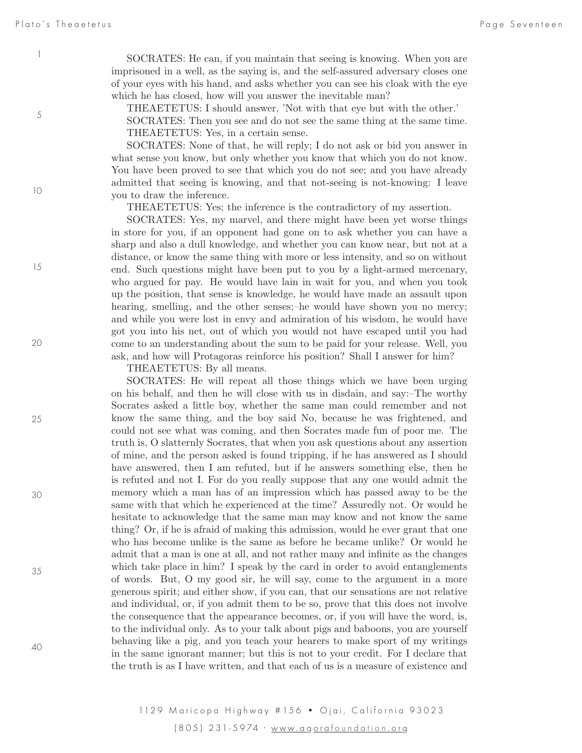SOCRATES: He can, if you maintain that seeing is knowing. When you are imprisoned in a well, as the saying is, and the self-assured adversary closes one of your eyes with his hand, and asks whether you can see his cloak with the eye which he has closed, how will you answer the inevitable man?

THEAETETUS: I should answer, 'Not with that eye but with the other.'

SOCRATES: Then you see and do not see the same thing at the same time. THEAETETUS: Yes, in a certain sense.

SOCRATES: None of that, he will reply; I do not ask or bid you answer in what sense you know, but only whether you know that which you do not know. You have been proved to see that which you do not see; and you have already admitted that seeing is knowing, and that not-seeing is not-knowing: I leave you to draw the inference.

THEAETETUS: Yes; the inference is the contradictory of my assertion.

SOCRATES: Yes, my marvel, and there might have been yet worse things in store for you, if an opponent had gone on to ask whether you can have a sharp and also a dull knowledge, and whether you can know near, but not at a distance, or know the same thing with more or less intensity, and so on without end. Such questions might have been put to you by a light-armed mercenary, who argued for pay. He would have lain in wait for you, and when you took up the position, that sense is knowledge, he would have made an assault upon hearing, smelling, and the other senses;-he would have shown you no mercy; and while you were lost in envy and admiration of his wisdom, he would have got you into his net, out of which you would not have escaped until you had come to an understanding about the sum to be paid for your release. Well, you ask, and how will Protagoras reinforce his position? Shall I answer for him?

THEAETETUS: By all means.

SOCRATES: He will repeat all those things which we have been urging on his behalf, and then he will close with us in disdain, and say:–The worthy Socrates asked a little boy, whether the same man could remember and not know the same thing, and the boy said No, because he was frightened, and could not see what was coming, and then Socrates made fun of poor me. The truth is, O slatternly Socrates, that when you ask questions about any assertion of mine, and the person asked is found tripping, if he has answered as I should have answered, then I am refuted, but if he answers something else, then he is refuted and not I. For do you really suppose that any one would admit the memory which a man has of an impression which has passed away to be the same with that which he experienced at the time? Assuredly not. Or would he hesitate to acknowledge that the same man may know and not know the same thing? Or, if he is afraid of making this admission, would he ever grant that one who has become unlike is the same as before he became unlike? Or would he admit that a man is one at all, and not rather many and infinite as the changes which take place in him? I speak by the card in order to avoid entanglements of words. But, O my good sir, he will say, come to the argument in a more generous spirit; and either show, if you can, that our sensations are not relative and individual, or, if you admit them to be so, prove that this does not involve the consequence that the appearance becomes, or, if you will have the word, is, to the individual only. As to your talk about pigs and baboons, you are yourself behaving like a pig, and you teach your hearers to make sport of my writings in the same ignorant manner; but this is not to your credit. For I declare that the truth is as I have written, and that each of us is a measure of existence and

1129 Maricopa Highway # 156 · Ojai, California 93023 (805) 231-5974 · www.a g ora foundation .or g

5

1

10

15

20

25

30

40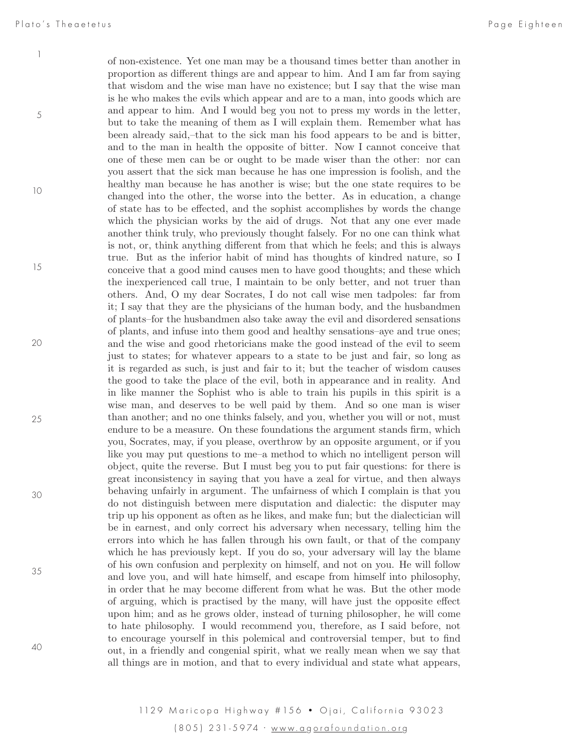of non-existence. Yet one man may be a thousand times better than another in proportion as different things are and appear to him. And I am far from saying that wisdom and the wise man have no existence; but I say that the wise man is he who makes the evils which appear and are to a man, into goods which are and appear to him. And I would beg you not to press my words in the letter, but to take the meaning of them as I will explain them. Remember what has been already said,–that to the sick man his food appears to be and is bitter, and to the man in health the opposite of bitter. Now I cannot conceive that one of these men can be or ought to be made wiser than the other: nor can you assert that the sick man because he has one impression is foolish, and the healthy man because he has another is wise; but the one state requires to be changed into the other, the worse into the better. As in education, a change of state has to be effected, and the sophist accomplishes by words the change which the physician works by the aid of drugs. Not that any one ever made another think truly, who previously thought falsely. For no one can think what is not, or, think anything different from that which he feels; and this is always true. But as the inferior habit of mind has thoughts of kindred nature, so I conceive that a good mind causes men to have good thoughts; and these which the inexperienced call true, I maintain to be only better, and not truer than others. And, O my dear Socrates, I do not call wise men tadpoles: far from it; I say that they are the physicians of the human body, and the husbandmen of plants–for the husbandmen also take away the evil and disordered sensations of plants, and infuse into them good and healthy sensations–aye and true ones; and the wise and good rhetoricians make the good instead of the evil to seem just to states; for whatever appears to a state to be just and fair, so long as it is regarded as such, is just and fair to it; but the teacher of wisdom causes the good to take the place of the evil, both in appearance and in reality. And in like manner the Sophist who is able to train his pupils in this spirit is a wise man, and deserves to be well paid by them. And so one man is wiser than another; and no one thinks falsely, and you, whether you will or not, must endure to be a measure. On these foundations the argument stands firm, which you, Socrates, may, if you please, overthrow by an opposite argument, or if you like you may put questions to me–a method to which no intelligent person will object, quite the reverse. But I must beg you to put fair questions: for there is great inconsistency in saying that you have a zeal for virtue, and then always behaving unfairly in argument. The unfairness of which I complain is that you do not distinguish between mere disputation and dialectic: the disputer may trip up his opponent as often as he likes, and make fun; but the dialectician will be in earnest, and only correct his adversary when necessary, telling him the errors into which he has fallen through his own fault, or that of the company which he has previously kept. If you do so, your adversary will lay the blame of his own confusion and perplexity on himself, and not on you. He will follow and love you, and will hate himself, and escape from himself into philosophy, in order that he may become different from what he was. But the other mode of arguing, which is practised by the many, will have just the opposite effect upon him; and as he grows older, instead of turning philosopher, he will come to hate philosophy. I would recommend you, therefore, as I said before, not to encourage yourself in this polemical and controversial temper, but to find out, in a friendly and congenial spirit, what we really mean when we say that all things are in motion, and that to every individual and state what appears, 5 10 15 20 25 30 35 40

> 1129 Maricopa Highway # 156 · Ojai, California 93023 (805) 231-5974 · www.a g ora foundation .or g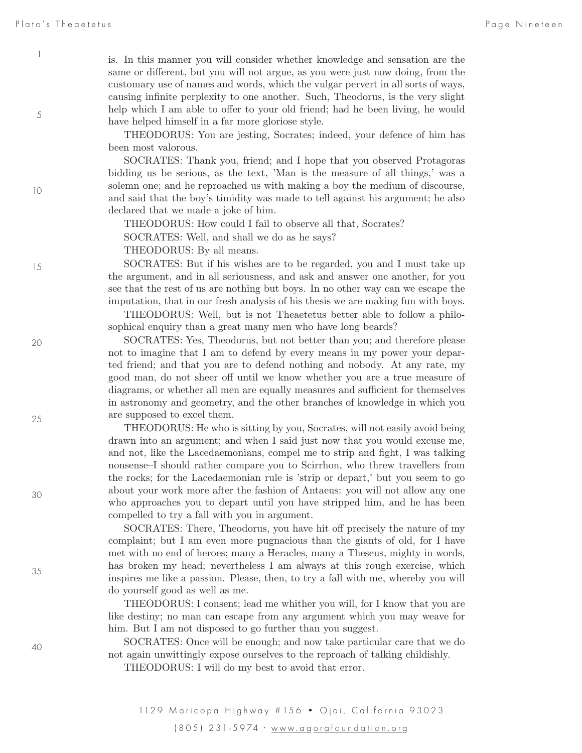5

is. In this manner you will consider whether knowledge and sensation are the same or different, but you will not argue, as you were just now doing, from the customary use of names and words, which the vulgar pervert in all sorts of ways, causing infinite perplexity to one another. Such, Theodorus, is the very slight help which I am able to offer to your old friend; had he been living, he would have helped himself in a far more gloriose style.

THEODORUS: You are jesting, Socrates; indeed, your defence of him has been most valorous.

SOCRATES: Thank you, friend; and I hope that you observed Protagoras bidding us be serious, as the text, 'Man is the measure of all things,' was a solemn one; and he reproached us with making a boy the medium of discourse, and said that the boy's timidity was made to tell against his argument; he also declared that we made a joke of him.

THEODORUS: How could I fail to observe all that, Socrates?

SOCRATES: Well, and shall we do as he says?

THEODORUS: By all means.

SOCRATES: But if his wishes are to be regarded, you and I must take up the argument, and in all seriousness, and ask and answer one another, for you see that the rest of us are nothing but boys. In no other way can we escape the imputation, that in our fresh analysis of his thesis we are making fun with boys.

THEODORUS: Well, but is not Theaetetus better able to follow a philosophical enquiry than a great many men who have long beards?

SOCRATES: Yes, Theodorus, but not better than you; and therefore please not to imagine that I am to defend by every means in my power your departed friend; and that you are to defend nothing and nobody. At any rate, my good man, do not sheer off until we know whether you are a true measure of diagrams, or whether all men are equally measures and sufficient for themselves in astronomy and geometry, and the other branches of knowledge in which you are supposed to excel them.

THEODORUS: He who is sitting by you, Socrates, will not easily avoid being drawn into an argument; and when I said just now that you would excuse me, and not, like the Lacedaemonians, compel me to strip and fight, I was talking nonsense–I should rather compare you to Scirrhon, who threw travellers from the rocks; for the Lacedaemonian rule is 'strip or depart,' but you seem to go about your work more after the fashion of Antaeus: you will not allow any one who approaches you to depart until you have stripped him, and he has been compelled to try a fall with you in argument.

SOCRATES: There, Theodorus, you have hit off precisely the nature of my complaint; but I am even more pugnacious than the giants of old, for I have met with no end of heroes; many a Heracles, many a Theseus, mighty in words, has broken my head; nevertheless I am always at this rough exercise, which inspires me like a passion. Please, then, to try a fall with me, whereby you will do yourself good as well as me.

THEODORUS: I consent; lead me whither you will, for I know that you are like destiny; no man can escape from any argument which you may weave for him. But I am not disposed to go further than you suggest.

SOCRATES: Once will be enough; and now take particular care that we do not again unwittingly expose ourselves to the reproach of talking childishly.

THEODORUS: I will do my best to avoid that error.

40

15

10

20

25

30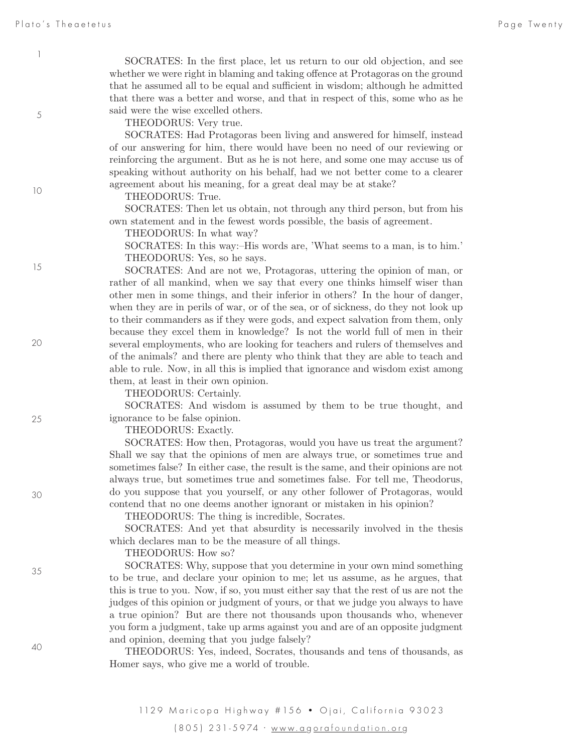SOCRATES: In the first place, let us return to our old objection, and see whether we were right in blaming and taking offence at Protagoras on the ground that he assumed all to be equal and sufficient in wisdom; although he admitted that there was a better and worse, and that in respect of this, some who as he said were the wise excelled others.

THEODORUS: Very true.

SOCRATES: Had Protagoras been living and answered for himself, instead of our answering for him, there would have been no need of our reviewing or reinforcing the argument. But as he is not here, and some one may accuse us of speaking without authority on his behalf, had we not better come to a clearer agreement about his meaning, for a great deal may be at stake?

THEODORUS: True.

SOCRATES: Then let us obtain, not through any third person, but from his own statement and in the fewest words possible, the basis of agreement.

THEODORUS: In what way?

SOCRATES: In this way:–His words are, 'What seems to a man, is to him.' THEODORUS: Yes, so he says.

SOCRATES: And are not we, Protagoras, uttering the opinion of man, or rather of all mankind, when we say that every one thinks himself wiser than other men in some things, and their inferior in others? In the hour of danger, when they are in perils of war, or of the sea, or of sickness, do they not look up to their commanders as if they were gods, and expect salvation from them, only because they excel them in knowledge? Is not the world full of men in their several employments, who are looking for teachers and rulers of themselves and of the animals? and there are plenty who think that they are able to teach and able to rule. Now, in all this is implied that ignorance and wisdom exist among them, at least in their own opinion.

THEODORUS: Certainly.

SOCRATES: And wisdom is assumed by them to be true thought, and ignorance to be false opinion.

THEODORUS: Exactly.

SOCRATES: How then, Protagoras, would you have us treat the argument? Shall we say that the opinions of men are always true, or sometimes true and sometimes false? In either case, the result is the same, and their opinions are not always true, but sometimes true and sometimes false. For tell me, Theodorus, do you suppose that you yourself, or any other follower of Protagoras, would contend that no one deems another ignorant or mistaken in his opinion?

THEODORUS: The thing is incredible, Socrates.

SOCRATES: And yet that absurdity is necessarily involved in the thesis which declares man to be the measure of all things.

THEODORUS: How so?

SOCRATES: Why, suppose that you determine in your own mind something to be true, and declare your opinion to me; let us assume, as he argues, that this is true to you. Now, if so, you must either say that the rest of us are not the judges of this opinion or judgment of yours, or that we judge you always to have a true opinion? But are there not thousands upon thousands who, whenever you form a judgment, take up arms against you and are of an opposite judgment and opinion, deeming that you judge falsely?

THEODORUS: Yes, indeed, Socrates, thousands and tens of thousands, as Homer says, who give me a world of trouble.

40

10

15

1

5

20

30

35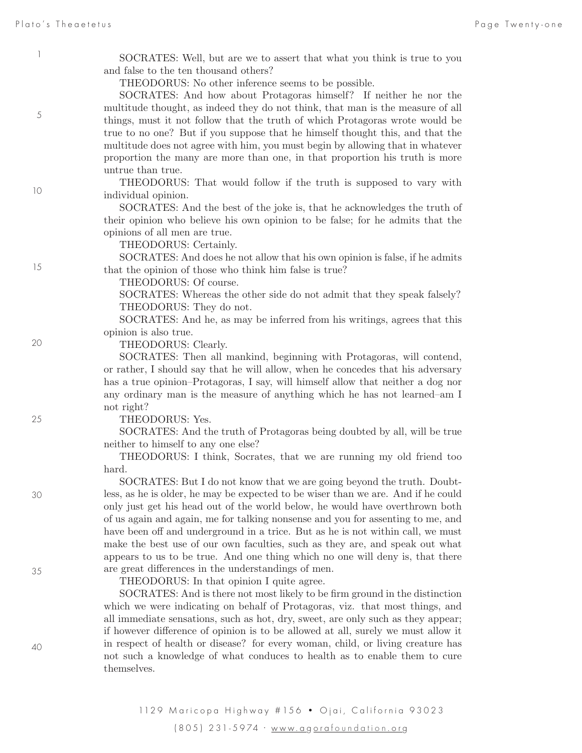5

10

15

20

25

30

35

SOCRATES: Well, but are we to assert that what you think is true to you and false to the ten thousand others?

THEODORUS: No other inference seems to be possible.

SOCRATES: And how about Protagoras himself? If neither he nor the multitude thought, as indeed they do not think, that man is the measure of all things, must it not follow that the truth of which Protagoras wrote would be true to no one? But if you suppose that he himself thought this, and that the multitude does not agree with him, you must begin by allowing that in whatever proportion the many are more than one, in that proportion his truth is more untrue than true.

THEODORUS: That would follow if the truth is supposed to vary with individual opinion.

SOCRATES: And the best of the joke is, that he acknowledges the truth of their opinion who believe his own opinion to be false; for he admits that the opinions of all men are true.

THEODORUS: Certainly.

SOCRATES: And does he not allow that his own opinion is false, if he admits that the opinion of those who think him false is true?

THEODORUS: Of course.

SOCRATES: Whereas the other side do not admit that they speak falsely? THEODORUS: They do not.

SOCRATES: And he, as may be inferred from his writings, agrees that this opinion is also true.

THEODORUS: Clearly.

SOCRATES: Then all mankind, beginning with Protagoras, will contend, or rather, I should say that he will allow, when he concedes that his adversary has a true opinion–Protagoras, I say, will himself allow that neither a dog nor any ordinary man is the measure of anything which he has not learned–am I not right?

THEODORUS: Yes.

SOCRATES: And the truth of Protagoras being doubted by all, will be true neither to himself to any one else?

THEODORUS: I think, Socrates, that we are running my old friend too hard.

SOCRATES: But I do not know that we are going beyond the truth. Doubtless, as he is older, he may be expected to be wiser than we are. And if he could only just get his head out of the world below, he would have overthrown both of us again and again, me for talking nonsense and you for assenting to me, and have been off and underground in a trice. But as he is not within call, we must make the best use of our own faculties, such as they are, and speak out what appears to us to be true. And one thing which no one will deny is, that there are great differences in the understandings of men.

THEODORUS: In that opinion I quite agree.

SOCRATES: And is there not most likely to be firm ground in the distinction which we were indicating on behalf of Protagoras, viz. that most things, and all immediate sensations, such as hot, dry, sweet, are only such as they appear; if however difference of opinion is to be allowed at all, surely we must allow it in respect of health or disease? for every woman, child, or living creature has not such a knowledge of what conduces to health as to enable them to cure themselves.

40

1129 Maricopa Highway # 156 · Ojai, California 93023 (805) 231-5974 · www.a g ora foundation .or g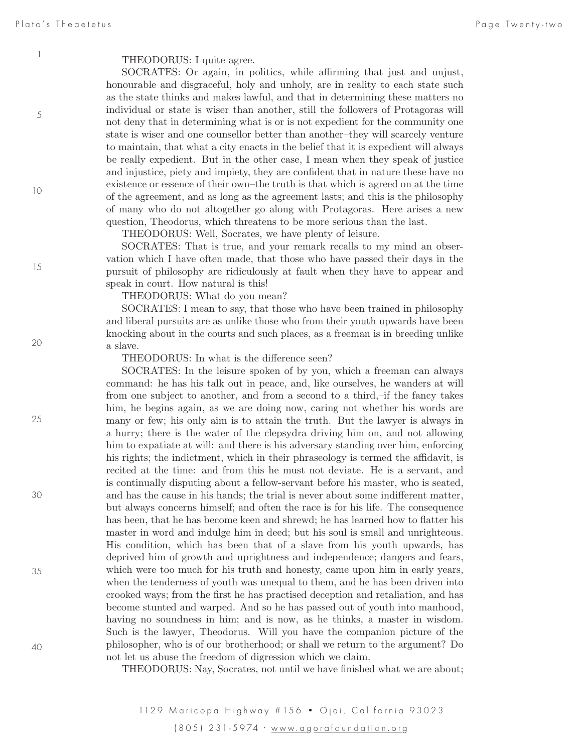5

10

15

20

25

30

35

#### THEODORUS: I quite agree.

SOCRATES: Or again, in politics, while affirming that just and unjust, honourable and disgraceful, holy and unholy, are in reality to each state such as the state thinks and makes lawful, and that in determining these matters no individual or state is wiser than another, still the followers of Protagoras will not deny that in determining what is or is not expedient for the community one state is wiser and one counsellor better than another–they will scarcely venture to maintain, that what a city enacts in the belief that it is expedient will always be really expedient. But in the other case, I mean when they speak of justice and injustice, piety and impiety, they are confident that in nature these have no existence or essence of their own–the truth is that which is agreed on at the time of the agreement, and as long as the agreement lasts; and this is the philosophy of many who do not altogether go along with Protagoras. Here arises a new question, Theodorus, which threatens to be more serious than the last.

THEODORUS: Well, Socrates, we have plenty of leisure.

SOCRATES: That is true, and your remark recalls to my mind an observation which I have often made, that those who have passed their days in the pursuit of philosophy are ridiculously at fault when they have to appear and speak in court. How natural is this!

THEODORUS: What do you mean?

SOCRATES: I mean to say, that those who have been trained in philosophy and liberal pursuits are as unlike those who from their youth upwards have been knocking about in the courts and such places, as a freeman is in breeding unlike a slave.

THEODORUS: In what is the difference seen?

SOCRATES: In the leisure spoken of by you, which a freeman can always command: he has his talk out in peace, and, like ourselves, he wanders at will from one subject to another, and from a second to a third,–if the fancy takes him, he begins again, as we are doing now, caring not whether his words are many or few; his only aim is to attain the truth. But the lawyer is always in a hurry; there is the water of the clepsydra driving him on, and not allowing him to expatiate at will: and there is his adversary standing over him, enforcing his rights; the indictment, which in their phraseology is termed the affidavit, is recited at the time: and from this he must not deviate. He is a servant, and is continually disputing about a fellow-servant before his master, who is seated, and has the cause in his hands; the trial is never about some indifferent matter, but always concerns himself; and often the race is for his life. The consequence has been, that he has become keen and shrewd; he has learned how to flatter his master in word and indulge him in deed; but his soul is small and unrighteous. His condition, which has been that of a slave from his youth upwards, has deprived him of growth and uprightness and independence; dangers and fears, which were too much for his truth and honesty, came upon him in early years, when the tenderness of youth was unequal to them, and he has been driven into crooked ways; from the first he has practised deception and retaliation, and has become stunted and warped. And so he has passed out of youth into manhood, having no soundness in him; and is now, as he thinks, a master in wisdom. Such is the lawyer, Theodorus. Will you have the companion picture of the philosopher, who is of our brotherhood; or shall we return to the argument? Do not let us abuse the freedom of digression which we claim.

THEODORUS: Nay, Socrates, not until we have finished what we are about;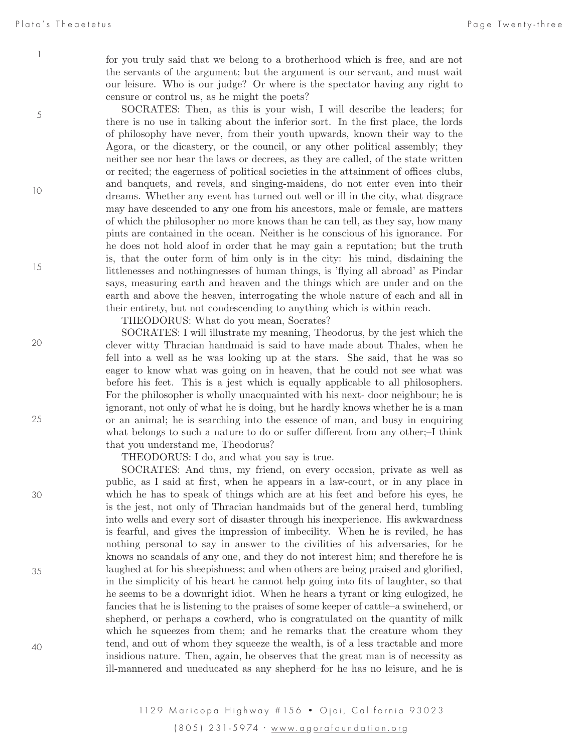for you truly said that we belong to a brotherhood which is free, and are not the servants of the argument; but the argument is our servant, and must wait our leisure. Who is our judge? Or where is the spectator having any right to censure or control us, as he might the poets?

SOCRATES: Then, as this is your wish, I will describe the leaders; for there is no use in talking about the inferior sort. In the first place, the lords of philosophy have never, from their youth upwards, known their way to the Agora, or the dicastery, or the council, or any other political assembly; they neither see nor hear the laws or decrees, as they are called, of the state written or recited; the eagerness of political societies in the attainment of offices–clubs, and banquets, and revels, and singing-maidens,–do not enter even into their dreams. Whether any event has turned out well or ill in the city, what disgrace may have descended to any one from his ancestors, male or female, are matters of which the philosopher no more knows than he can tell, as they say, how many pints are contained in the ocean. Neither is he conscious of his ignorance. For he does not hold aloof in order that he may gain a reputation; but the truth is, that the outer form of him only is in the city: his mind, disdaining the littlenesses and nothingnesses of human things, is 'flying all abroad' as Pindar says, measuring earth and heaven and the things which are under and on the earth and above the heaven, interrogating the whole nature of each and all in their entirety, but not condescending to anything which is within reach.

THEODORUS: What do you mean, Socrates?

SOCRATES: I will illustrate my meaning, Theodorus, by the jest which the clever witty Thracian handmaid is said to have made about Thales, when he fell into a well as he was looking up at the stars. She said, that he was so eager to know what was going on in heaven, that he could not see what was before his feet. This is a jest which is equally applicable to all philosophers. For the philosopher is wholly unacquainted with his next- door neighbour; he is ignorant, not only of what he is doing, but he hardly knows whether he is a man or an animal; he is searching into the essence of man, and busy in enquiring what belongs to such a nature to do or suffer different from any other;–I think that you understand me, Theodorus?

THEODORUS: I do, and what you say is true.

SOCRATES: And thus, my friend, on every occasion, private as well as public, as I said at first, when he appears in a law-court, or in any place in which he has to speak of things which are at his feet and before his eyes, he is the jest, not only of Thracian handmaids but of the general herd, tumbling into wells and every sort of disaster through his inexperience. His awkwardness is fearful, and gives the impression of imbecility. When he is reviled, he has nothing personal to say in answer to the civilities of his adversaries, for he knows no scandals of any one, and they do not interest him; and therefore he is laughed at for his sheepishness; and when others are being praised and glorified, in the simplicity of his heart he cannot help going into fits of laughter, so that he seems to be a downright idiot. When he hears a tyrant or king eulogized, he fancies that he is listening to the praises of some keeper of cattle–a swineherd, or shepherd, or perhaps a cowherd, who is congratulated on the quantity of milk which he squeezes from them; and he remarks that the creature whom they tend, and out of whom they squeeze the wealth, is of a less tractable and more insidious nature. Then, again, he observes that the great man is of necessity as ill-mannered and uneducated as any shepherd–for he has no leisure, and he is

1

5

10

15

25

20

30

40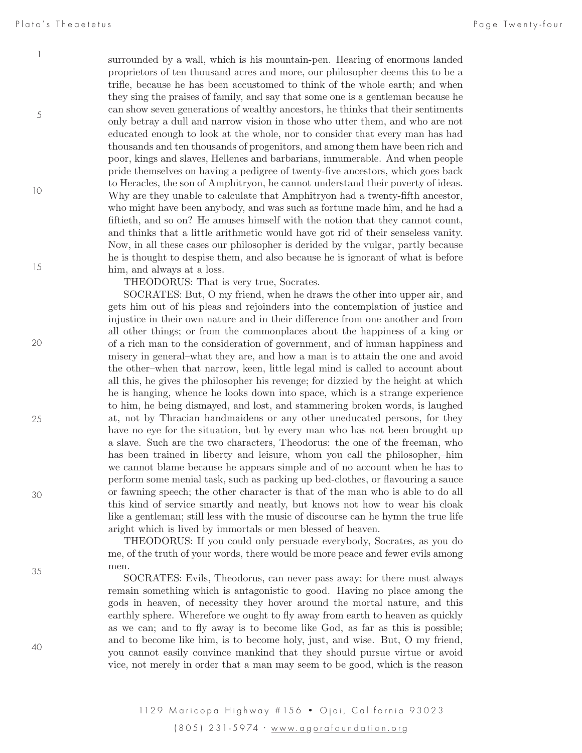5

10

15

surrounded by a wall, which is his mountain-pen. Hearing of enormous landed proprietors of ten thousand acres and more, our philosopher deems this to be a trifle, because he has been accustomed to think of the whole earth; and when they sing the praises of family, and say that some one is a gentleman because he can show seven generations of wealthy ancestors, he thinks that their sentiments only betray a dull and narrow vision in those who utter them, and who are not educated enough to look at the whole, nor to consider that every man has had thousands and ten thousands of progenitors, and among them have been rich and poor, kings and slaves, Hellenes and barbarians, innumerable. And when people pride themselves on having a pedigree of twenty-five ancestors, which goes back to Heracles, the son of Amphitryon, he cannot understand their poverty of ideas. Why are they unable to calculate that Amphitryon had a twenty-fifth ancestor, who might have been anybody, and was such as fortune made him, and he had a fiftieth, and so on? He amuses himself with the notion that they cannot count, and thinks that a little arithmetic would have got rid of their senseless vanity. Now, in all these cases our philosopher is derided by the vulgar, partly because he is thought to despise them, and also because he is ignorant of what is before him, and always at a loss.

THEODORUS: That is very true, Socrates.

SOCRATES: But, O my friend, when he draws the other into upper air, and gets him out of his pleas and rejoinders into the contemplation of justice and injustice in their own nature and in their difference from one another and from all other things; or from the commonplaces about the happiness of a king or of a rich man to the consideration of government, and of human happiness and misery in general–what they are, and how a man is to attain the one and avoid the other–when that narrow, keen, little legal mind is called to account about all this, he gives the philosopher his revenge; for dizzied by the height at which he is hanging, whence he looks down into space, which is a strange experience to him, he being dismayed, and lost, and stammering broken words, is laughed at, not by Thracian handmaidens or any other uneducated persons, for they have no eye for the situation, but by every man who has not been brought up a slave. Such are the two characters, Theodorus: the one of the freeman, who has been trained in liberty and leisure, whom you call the philosopher,–him we cannot blame because he appears simple and of no account when he has to perform some menial task, such as packing up bed-clothes, or flavouring a sauce or fawning speech; the other character is that of the man who is able to do all this kind of service smartly and neatly, but knows not how to wear his cloak like a gentleman; still less with the music of discourse can he hymn the true life aright which is lived by immortals or men blessed of heaven.

THEODORUS: If you could only persuade everybody, Socrates, as you do me, of the truth of your words, there would be more peace and fewer evils among men.

SOCRATES: Evils, Theodorus, can never pass away; for there must always remain something which is antagonistic to good. Having no place among the gods in heaven, of necessity they hover around the mortal nature, and this earthly sphere. Wherefore we ought to fly away from earth to heaven as quickly as we can; and to fly away is to become like God, as far as this is possible; and to become like him, is to become holy, just, and wise. But, O my friend, you cannot easily convince mankind that they should pursue virtue or avoid vice, not merely in order that a man may seem to be good, which is the reason

25

20

30

40

35

1129 Maricopa Highway # 156 · Ojai, California 93023 (805) 231-5974 · www.a g ora foundation .or g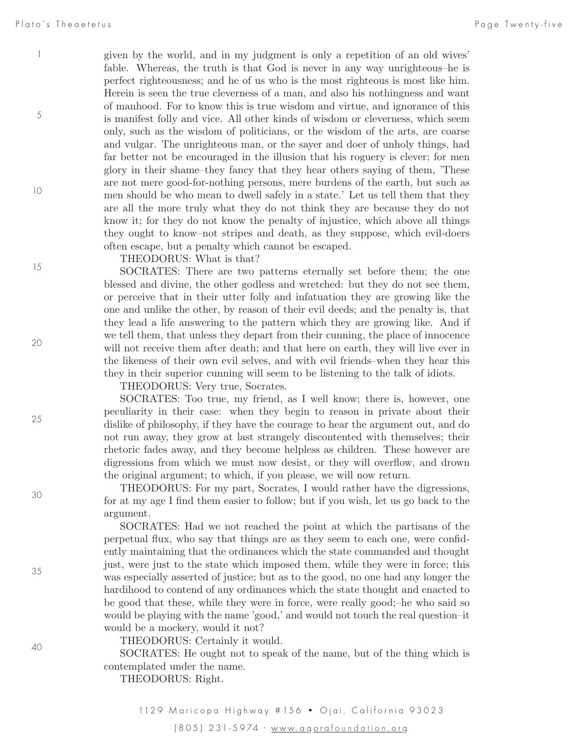5

10

given by the world, and in my judgment is only a repetition of an old wives' fable. Whereas, the truth is that God is never in any way unrighteous–he is perfect righteousness; and he of us who is the most righteous is most like him. Herein is seen the true cleverness of a man, and also his nothingness and want of manhood. For to know this is true wisdom and virtue, and ignorance of this is manifest folly and vice. All other kinds of wisdom or cleverness, which seem only, such as the wisdom of politicians, or the wisdom of the arts, are coarse and vulgar. The unrighteous man, or the sayer and doer of unholy things, had far better not be encouraged in the illusion that his roguery is clever; for men glory in their shame–they fancy that they hear others saying of them, 'These are not mere good-for-nothing persons, mere burdens of the earth, but such as men should be who mean to dwell safely in a state.' Let us tell them that they are all the more truly what they do not think they are because they do not know it; for they do not know the penalty of injustice, which above all things they ought to know–not stripes and death, as they suppose, which evil-doers often escape, but a penalty which cannot be escaped.

THEODORUS: What is that?

SOCRATES: There are two patterns eternally set before them; the one blessed and divine, the other godless and wretched: but they do not see them, or perceive that in their utter folly and infatuation they are growing like the one and unlike the other, by reason of their evil deeds; and the penalty is, that they lead a life answering to the pattern which they are growing like. And if we tell them, that unless they depart from their cunning, the place of innocence will not receive them after death; and that here on earth, they will live ever in the likeness of their own evil selves, and with evil friends–when they hear this they in their superior cunning will seem to be listening to the talk of idiots.

THEODORUS: Very true, Socrates.

SOCRATES: Too true, my friend, as I well know; there is, however, one peculiarity in their case: when they begin to reason in private about their dislike of philosophy, if they have the courage to hear the argument out, and do not run away, they grow at last strangely discontented with themselves; their rhetoric fades away, and they become helpless as children. These however are digressions from which we must now desist, or they will overflow, and drown the original argument; to which, if you please, we will now return.

THEODORUS: For my part, Socrates, I would rather have the digressions, for at my age I find them easier to follow; but if you wish, let us go back to the argument.

SOCRATES: Had we not reached the point at which the partisans of the perpetual flux, who say that things are as they seem to each one, were confidently maintaining that the ordinances which the state commanded and thought just, were just to the state which imposed them, while they were in force; this was especially asserted of justice; but as to the good, no one had any longer the hardihood to contend of any ordinances which the state thought and enacted to be good that these, while they were in force, were really good;–he who said so would be playing with the name 'good,' and would not touch the real question–it would be a mockery, would it not?

THEODORUS: Certainly it would.

SOCRATES: He ought not to speak of the name, but of the thing which is contemplated under the name.

THEODORUS: Right.

15

25

20

30

35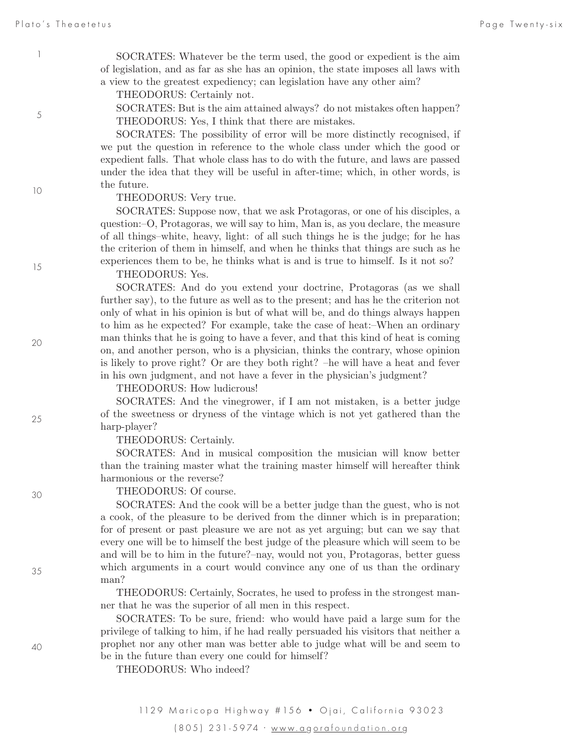SOCRATES: Whatever be the term used, the good or expedient is the aim of legislation, and as far as she has an opinion, the state imposes all laws with a view to the greatest expediency; can legislation have any other aim?

THEODORUS: Certainly not.

SOCRATES: But is the aim attained always? do not mistakes often happen? THEODORUS: Yes, I think that there are mistakes.

SOCRATES: The possibility of error will be more distinctly recognised, if we put the question in reference to the whole class under which the good or expedient falls. That whole class has to do with the future, and laws are passed under the idea that they will be useful in after-time; which, in other words, is the future.

THEODORUS: Very true.

SOCRATES: Suppose now, that we ask Protagoras, or one of his disciples, a question:–O, Protagoras, we will say to him, Man is, as you declare, the measure of all things–white, heavy, light: of all such things he is the judge; for he has the criterion of them in himself, and when he thinks that things are such as he experiences them to be, he thinks what is and is true to himself. Is it not so?

THEODORUS: Yes.

SOCRATES: And do you extend your doctrine, Protagoras (as we shall further say), to the future as well as to the present; and has he the criterion not only of what in his opinion is but of what will be, and do things always happen to him as he expected? For example, take the case of heat:–When an ordinary man thinks that he is going to have a fever, and that this kind of heat is coming on, and another person, who is a physician, thinks the contrary, whose opinion is likely to prove right? Or are they both right? –he will have a heat and fever in his own judgment, and not have a fever in the physician's judgment?

THEODORUS: How ludicrous!

SOCRATES: And the vinegrower, if I am not mistaken, is a better judge of the sweetness or dryness of the vintage which is not yet gathered than the harp-player?

THEODORUS: Certainly.

SOCRATES: And in musical composition the musician will know better than the training master what the training master himself will hereafter think harmonious or the reverse?

THEODORUS: Of course.

SOCRATES: And the cook will be a better judge than the guest, who is not a cook, of the pleasure to be derived from the dinner which is in preparation; for of present or past pleasure we are not as yet arguing; but can we say that every one will be to himself the best judge of the pleasure which will seem to be and will be to him in the future?–nay, would not you, Protagoras, better guess which arguments in a court would convince any one of us than the ordinary man?

THEODORUS: Certainly, Socrates, he used to profess in the strongest manner that he was the superior of all men in this respect.

SOCRATES: To be sure, friend: who would have paid a large sum for the privilege of talking to him, if he had really persuaded his visitors that neither a prophet nor any other man was better able to judge what will be and seem to be in the future than every one could for himself?

THEODORUS: Who indeed?

1

5

10

15

20

25

40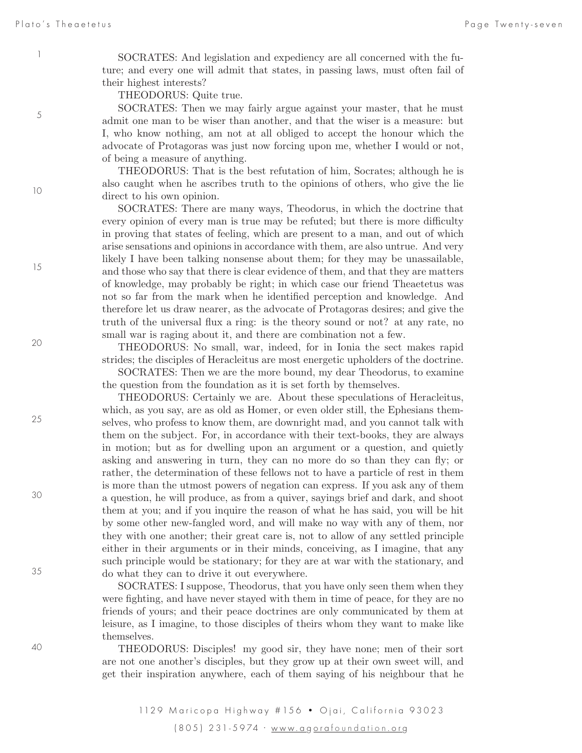5

10

15

20

25

30

35

SOCRATES: And legislation and expediency are all concerned with the future; and every one will admit that states, in passing laws, must often fail of their highest interests?

THEODORUS: Quite true.

SOCRATES: Then we may fairly argue against your master, that he must admit one man to be wiser than another, and that the wiser is a measure: but I, who know nothing, am not at all obliged to accept the honour which the advocate of Protagoras was just now forcing upon me, whether I would or not, of being a measure of anything.

THEODORUS: That is the best refutation of him, Socrates; although he is also caught when he ascribes truth to the opinions of others, who give the lie direct to his own opinion.

SOCRATES: There are many ways, Theodorus, in which the doctrine that every opinion of every man is true may be refuted; but there is more difficulty in proving that states of feeling, which are present to a man, and out of which arise sensations and opinions in accordance with them, are also untrue. And very likely I have been talking nonsense about them; for they may be unassailable, and those who say that there is clear evidence of them, and that they are matters of knowledge, may probably be right; in which case our friend Theaetetus was not so far from the mark when he identified perception and knowledge. And therefore let us draw nearer, as the advocate of Protagoras desires; and give the truth of the universal flux a ring: is the theory sound or not? at any rate, no small war is raging about it, and there are combination not a few.

THEODORUS: No small, war, indeed, for in Ionia the sect makes rapid strides; the disciples of Heracleitus are most energetic upholders of the doctrine.

SOCRATES: Then we are the more bound, my dear Theodorus, to examine the question from the foundation as it is set forth by themselves.

THEODORUS: Certainly we are. About these speculations of Heracleitus, which, as you say, are as old as Homer, or even older still, the Ephesians themselves, who profess to know them, are downright mad, and you cannot talk with them on the subject. For, in accordance with their text-books, they are always in motion; but as for dwelling upon an argument or a question, and quietly asking and answering in turn, they can no more do so than they can fly; or rather, the determination of these fellows not to have a particle of rest in them is more than the utmost powers of negation can express. If you ask any of them a question, he will produce, as from a quiver, sayings brief and dark, and shoot them at you; and if you inquire the reason of what he has said, you will be hit by some other new-fangled word, and will make no way with any of them, nor they with one another; their great care is, not to allow of any settled principle either in their arguments or in their minds, conceiving, as I imagine, that any such principle would be stationary; for they are at war with the stationary, and do what they can to drive it out everywhere.

SOCRATES: I suppose, Theodorus, that you have only seen them when they were fighting, and have never stayed with them in time of peace, for they are no friends of yours; and their peace doctrines are only communicated by them at leisure, as I imagine, to those disciples of theirs whom they want to make like themselves.

THEODORUS: Disciples! my good sir, they have none; men of their sort are not one another's disciples, but they grow up at their own sweet will, and get their inspiration anywhere, each of them saying of his neighbour that he

1129 Maricopa Highway # 156 · Ojai, California 93023 (805) 231-5974 · www.a g ora foundation .or g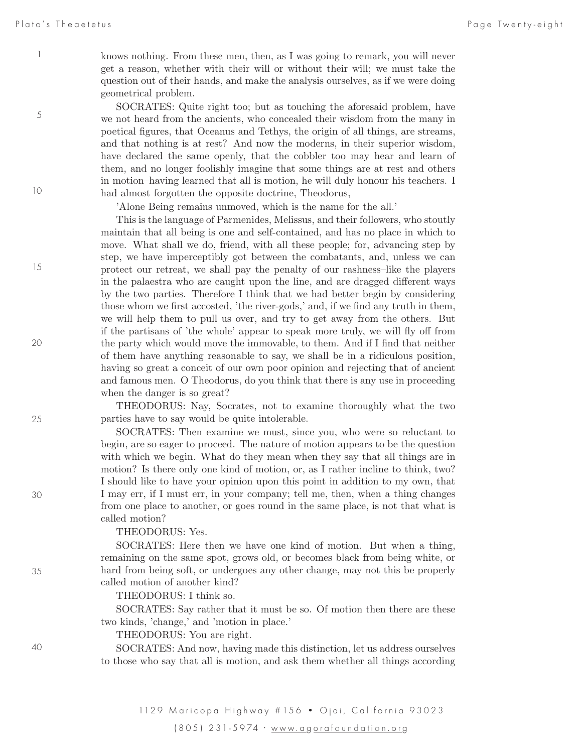5

10

15

knows nothing. From these men, then, as I was going to remark, you will never get a reason, whether with their will or without their will; we must take the question out of their hands, and make the analysis ourselves, as if we were doing geometrical problem.

SOCRATES: Quite right too; but as touching the aforesaid problem, have we not heard from the ancients, who concealed their wisdom from the many in poetical figures, that Oceanus and Tethys, the origin of all things, are streams, and that nothing is at rest? And now the moderns, in their superior wisdom, have declared the same openly, that the cobbler too may hear and learn of them, and no longer foolishly imagine that some things are at rest and others in motion–having learned that all is motion, he will duly honour his teachers. I had almost forgotten the opposite doctrine, Theodorus,

'Alone Being remains unmoved, which is the name for the all.'

This is the language of Parmenides, Melissus, and their followers, who stoutly maintain that all being is one and self-contained, and has no place in which to move. What shall we do, friend, with all these people; for, advancing step by step, we have imperceptibly got between the combatants, and, unless we can protect our retreat, we shall pay the penalty of our rashness–like the players in the palaestra who are caught upon the line, and are dragged different ways by the two parties. Therefore I think that we had better begin by considering those whom we first accosted, 'the river-gods,' and, if we find any truth in them, we will help them to pull us over, and try to get away from the others. But if the partisans of 'the whole' appear to speak more truly, we will fly off from the party which would move the immovable, to them. And if I find that neither of them have anything reasonable to say, we shall be in a ridiculous position, having so great a conceit of our own poor opinion and rejecting that of ancient and famous men. O Theodorus, do you think that there is any use in proceeding when the danger is so great?

THEODORUS: Nay, Socrates, not to examine thoroughly what the two parties have to say would be quite intolerable.

SOCRATES: Then examine we must, since you, who were so reluctant to begin, are so eager to proceed. The nature of motion appears to be the question with which we begin. What do they mean when they say that all things are in motion? Is there only one kind of motion, or, as I rather incline to think, two? I should like to have your opinion upon this point in addition to my own, that I may err, if I must err, in your company; tell me, then, when a thing changes from one place to another, or goes round in the same place, is not that what is called motion?

#### THEODORUS: Yes.

SOCRATES: Here then we have one kind of motion. But when a thing, remaining on the same spot, grows old, or becomes black from being white, or hard from being soft, or undergoes any other change, may not this be properly called motion of another kind?

THEODORUS: I think so.

SOCRATES: Say rather that it must be so. Of motion then there are these two kinds, 'change,' and 'motion in place.'

THEODORUS: You are right.

SOCRATES: And now, having made this distinction, let us address ourselves to those who say that all is motion, and ask them whether all things according

25

20

30

35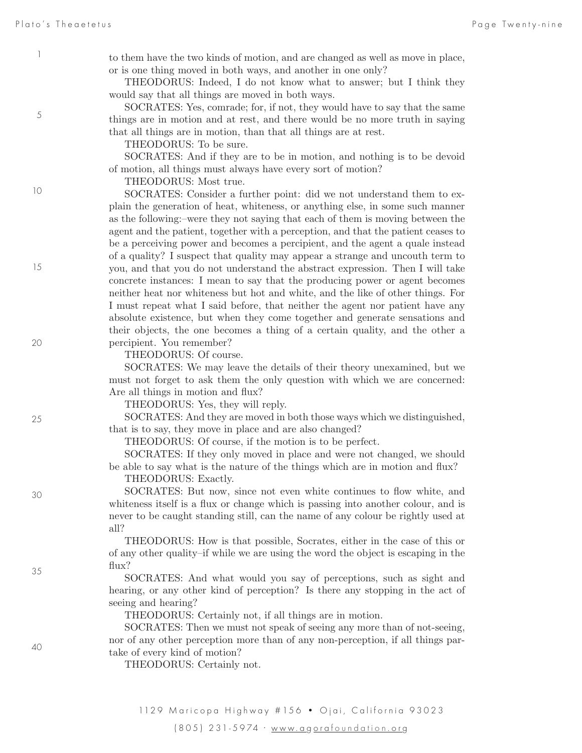5

10

15

20

25

30

35

to them have the two kinds of motion, and are changed as well as move in place, or is one thing moved in both ways, and another in one only?

THEODORUS: Indeed, I do not know what to answer; but I think they would say that all things are moved in both ways.

SOCRATES: Yes, comrade; for, if not, they would have to say that the same things are in motion and at rest, and there would be no more truth in saying that all things are in motion, than that all things are at rest.

THEODORUS: To be sure.

SOCRATES: And if they are to be in motion, and nothing is to be devoid of motion, all things must always have every sort of motion?

THEODORUS: Most true.

SOCRATES: Consider a further point: did we not understand them to explain the generation of heat, whiteness, or anything else, in some such manner as the following:–were they not saying that each of them is moving between the agent and the patient, together with a perception, and that the patient ceases to be a perceiving power and becomes a percipient, and the agent a quale instead of a quality? I suspect that quality may appear a strange and uncouth term to you, and that you do not understand the abstract expression. Then I will take concrete instances: I mean to say that the producing power or agent becomes neither heat nor whiteness but hot and white, and the like of other things. For I must repeat what I said before, that neither the agent nor patient have any absolute existence, but when they come together and generate sensations and their objects, the one becomes a thing of a certain quality, and the other a percipient. You remember?

THEODORUS: Of course.

SOCRATES: We may leave the details of their theory unexamined, but we must not forget to ask them the only question with which we are concerned: Are all things in motion and flux?

THEODORUS: Yes, they will reply.

SOCRATES: And they are moved in both those ways which we distinguished, that is to say, they move in place and are also changed?

THEODORUS: Of course, if the motion is to be perfect.

SOCRATES: If they only moved in place and were not changed, we should be able to say what is the nature of the things which are in motion and flux? THEODORUS: Exactly.

SOCRATES: But now, since not even white continues to flow white, and whiteness itself is a flux or change which is passing into another colour, and is never to be caught standing still, can the name of any colour be rightly used at all?

THEODORUS: How is that possible, Socrates, either in the case of this or of any other quality–if while we are using the word the object is escaping in the flux?

SOCRATES: And what would you say of perceptions, such as sight and hearing, or any other kind of perception? Is there any stopping in the act of seeing and hearing?

THEODORUS: Certainly not, if all things are in motion.

SOCRATES: Then we must not speak of seeing any more than of not-seeing, nor of any other perception more than of any non-perception, if all things partake of every kind of motion?

THEODORUS: Certainly not.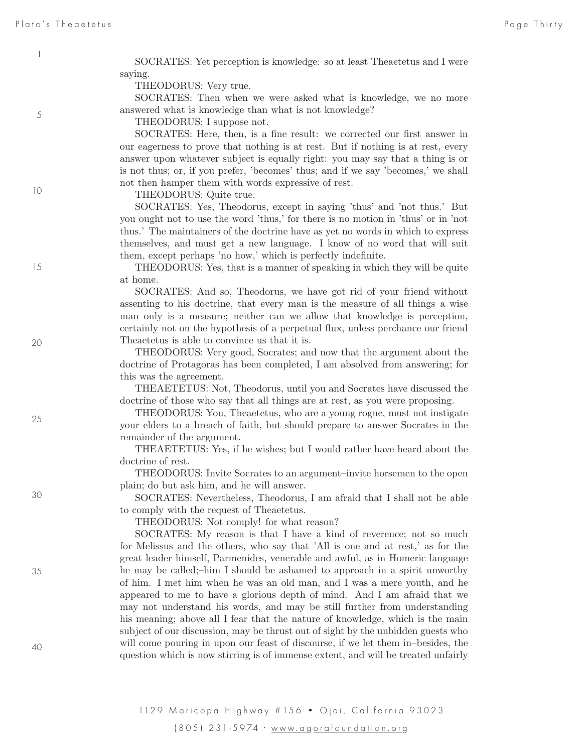SOCRATES: Yet perception is knowledge: so at least Theaetetus and I were saying.

THEODORUS: Very true.

SOCRATES: Then when we were asked what is knowledge, we no more answered what is knowledge than what is not knowledge?

THEODORUS: I suppose not.

SOCRATES: Here, then, is a fine result: we corrected our first answer in our eagerness to prove that nothing is at rest. But if nothing is at rest, every answer upon whatever subject is equally right: you may say that a thing is or is not thus; or, if you prefer, 'becomes' thus; and if we say 'becomes,' we shall not then hamper them with words expressive of rest.

THEODORUS: Quite true.

SOCRATES: Yes, Theodorus, except in saying 'thus' and 'not thus.' But you ought not to use the word 'thus,' for there is no motion in 'thus' or in 'not thus.' The maintainers of the doctrine have as yet no words in which to express themselves, and must get a new language. I know of no word that will suit them, except perhaps 'no how,' which is perfectly indefinite.

THEODORUS: Yes, that is a manner of speaking in which they will be quite at home.

SOCRATES: And so, Theodorus, we have got rid of your friend without assenting to his doctrine, that every man is the measure of all things–a wise man only is a measure; neither can we allow that knowledge is perception, certainly not on the hypothesis of a perpetual flux, unless perchance our friend Theaetetus is able to convince us that it is.

THEODORUS: Very good, Socrates; and now that the argument about the doctrine of Protagoras has been completed, I am absolved from answering; for this was the agreement.

THEAETETUS: Not, Theodorus, until you and Socrates have discussed the doctrine of those who say that all things are at rest, as you were proposing.

THEODORUS: You, Theaetetus, who are a young rogue, must not instigate your elders to a breach of faith, but should prepare to answer Socrates in the remainder of the argument.

THEAETETUS: Yes, if he wishes; but I would rather have heard about the doctrine of rest.

THEODORUS: Invite Socrates to an argument–invite horsemen to the open plain; do but ask him, and he will answer.

SOCRATES: Nevertheless, Theodorus, I am afraid that I shall not be able to comply with the request of Theaetetus.

THEODORUS: Not comply! for what reason?

SOCRATES: My reason is that I have a kind of reverence; not so much for Melissus and the others, who say that 'All is one and at rest,' as for the great leader himself, Parmenides, venerable and awful, as in Homeric language he may be called;–him I should be ashamed to approach in a spirit unworthy of him. I met him when he was an old man, and I was a mere youth, and he appeared to me to have a glorious depth of mind. And I am afraid that we may not understand his words, and may be still further from understanding his meaning; above all I fear that the nature of knowledge, which is the main subject of our discussion, may be thrust out of sight by the unbidden guests who will come pouring in upon our feast of discourse, if we let them in–besides, the question which is now stirring is of immense extent, and will be treated unfairly

1

5

20

15

25

35

30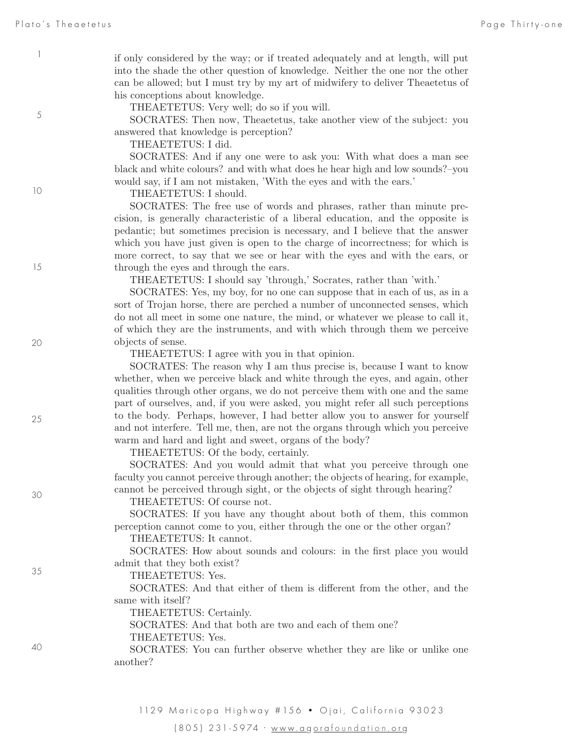5

10

15

20

25

30

35

if only considered by the way; or if treated adequately and at length, will put into the shade the other question of knowledge. Neither the one nor the other can be allowed; but I must try by my art of midwifery to deliver Theaetetus of his conceptions about knowledge.

THEAETETUS: Very well; do so if you will.

SOCRATES: Then now, Theaetetus, take another view of the subject: you answered that knowledge is perception?

THEAETETUS: I did.

SOCRATES: And if any one were to ask you: With what does a man see black and white colours? and with what does he hear high and low sounds?–you would say, if I am not mistaken, 'With the eyes and with the ears.'

THEAETETUS: I should.

SOCRATES: The free use of words and phrases, rather than minute precision, is generally characteristic of a liberal education, and the opposite is pedantic; but sometimes precision is necessary, and I believe that the answer which you have just given is open to the charge of incorrectness; for which is more correct, to say that we see or hear with the eyes and with the ears, or through the eyes and through the ears.

THEAETETUS: I should say 'through,' Socrates, rather than 'with.'

SOCRATES: Yes, my boy, for no one can suppose that in each of us, as in a sort of Trojan horse, there are perched a number of unconnected senses, which do not all meet in some one nature, the mind, or whatever we please to call it, of which they are the instruments, and with which through them we perceive objects of sense.

THEAETETUS: I agree with you in that opinion.

SOCRATES: The reason why I am thus precise is, because I want to know whether, when we perceive black and white through the eyes, and again, other qualities through other organs, we do not perceive them with one and the same part of ourselves, and, if you were asked, you might refer all such perceptions to the body. Perhaps, however, I had better allow you to answer for yourself and not interfere. Tell me, then, are not the organs through which you perceive warm and hard and light and sweet, organs of the body?

THEAETETUS: Of the body, certainly.

SOCRATES: And you would admit that what you perceive through one faculty you cannot perceive through another; the objects of hearing, for example, cannot be perceived through sight, or the objects of sight through hearing?

THEAETETUS: Of course not.

SOCRATES: If you have any thought about both of them, this common perception cannot come to you, either through the one or the other organ?

THEAETETUS: It cannot.

SOCRATES: How about sounds and colours: in the first place you would admit that they both exist?

THEAETETUS: Yes.

SOCRATES: And that either of them is different from the other, and the same with itself?

THEAETETUS: Certainly.

SOCRATES: And that both are two and each of them one? THEAETETUS: Yes.

SOCRATES: You can further observe whether they are like or unlike one another?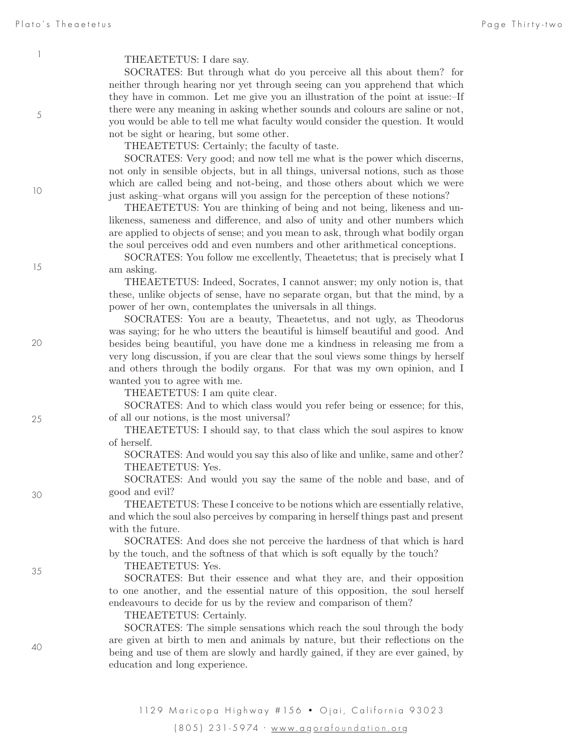5

#### THEAETETUS: I dare say.

SOCRATES: But through what do you perceive all this about them? for neither through hearing nor yet through seeing can you apprehend that which they have in common. Let me give you an illustration of the point at issue:–If there were any meaning in asking whether sounds and colours are saline or not, you would be able to tell me what faculty would consider the question. It would not be sight or hearing, but some other.

THEAETETUS: Certainly; the faculty of taste.

SOCRATES: Very good; and now tell me what is the power which discerns, not only in sensible objects, but in all things, universal notions, such as those which are called being and not-being, and those others about which we were just asking–what organs will you assign for the perception of these notions?

THEAETETUS: You are thinking of being and not being, likeness and unlikeness, sameness and difference, and also of unity and other numbers which are applied to objects of sense; and you mean to ask, through what bodily organ the soul perceives odd and even numbers and other arithmetical conceptions.

SOCRATES: You follow me excellently, Theaetetus; that is precisely what I am asking.

THEAETETUS: Indeed, Socrates, I cannot answer; my only notion is, that these, unlike objects of sense, have no separate organ, but that the mind, by a power of her own, contemplates the universals in all things.

SOCRATES: You are a beauty, Theaetetus, and not ugly, as Theodorus was saying; for he who utters the beautiful is himself beautiful and good. And besides being beautiful, you have done me a kindness in releasing me from a very long discussion, if you are clear that the soul views some things by herself and others through the bodily organs. For that was my own opinion, and I wanted you to agree with me.

THEAETETUS: I am quite clear.

SOCRATES: And to which class would you refer being or essence; for this, of all our notions, is the most universal?

THEAETETUS: I should say, to that class which the soul aspires to know of herself.

SOCRATES: And would you say this also of like and unlike, same and other? THEAETETUS: Yes.

SOCRATES: And would you say the same of the noble and base, and of good and evil?

THEAETETUS: These I conceive to be notions which are essentially relative, and which the soul also perceives by comparing in herself things past and present with the future.

SOCRATES: And does she not perceive the hardness of that which is hard by the touch, and the softness of that which is soft equally by the touch?

#### THEAETETUS: Yes.

SOCRATES: But their essence and what they are, and their opposition to one another, and the essential nature of this opposition, the soul herself endeavours to decide for us by the review and comparison of them?

THEAETETUS: Certainly.

SOCRATES: The simple sensations which reach the soul through the body are given at birth to men and animals by nature, but their reflections on the being and use of them are slowly and hardly gained, if they are ever gained, by education and long experience.

1129 Maricopa Highway # 156 · Ojai, California 93023 (805) 231-5974 · www.a g ora foundation .or g

40

15

20

25

30

35